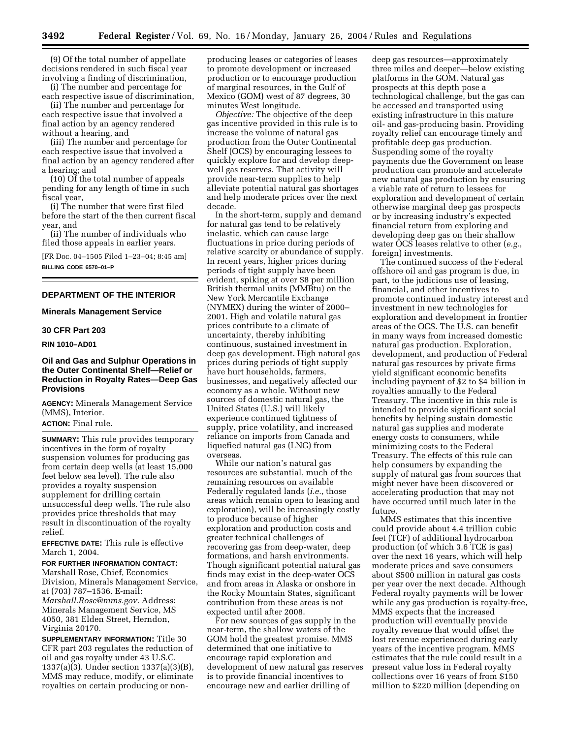(9) Of the total number of appellate decisions rendered in such fiscal year involving a finding of discrimination,

(i) The number and percentage for each respective issue of discrimination,

(ii) The number and percentage for each respective issue that involved a final action by an agency rendered without a hearing, and

(iii) The number and percentage for each respective issue that involved a final action by an agency rendered after a hearing; and

(10) Of the total number of appeals pending for any length of time in such fiscal year,

(i) The number that were first filed before the start of the then current fiscal year, and

(ii) The number of individuals who filed those appeals in earlier years.

[FR Doc. 04–1505 Filed 1–23–04; 8:45 am] **BILLING CODE 6570–01–P**

#### **DEPARTMENT OF THE INTERIOR**

### **Minerals Management Service**

#### **30 CFR Part 203**

## **RIN 1010–AD01**

## **Oil and Gas and Sulphur Operations in the Outer Continental Shelf—Relief or Reduction in Royalty Rates—Deep Gas Provisions**

**AGENCY:** Minerals Management Service (MMS), Interior.

## **ACTION:** Final rule.

**SUMMARY:** This rule provides temporary incentives in the form of royalty suspension volumes for producing gas from certain deep wells (at least 15,000 feet below sea level). The rule also provides a royalty suspension supplement for drilling certain unsuccessful deep wells. The rule also provides price thresholds that may result in discontinuation of the royalty relief.

**EFFECTIVE DATE:** This rule is effective March 1, 2004.

### **FOR FURTHER INFORMATION CONTACT:**

Marshall Rose, Chief, Economics Division, Minerals Management Service, at (703) 787–1536. E-mail: *Marshall.Rose@mms.gov.* Address: Minerals Management Service, MS 4050, 381 Elden Street, Herndon, Virginia 20170.

**SUPPLEMENTARY INFORMATION:** Title 30 CFR part 203 regulates the reduction of oil and gas royalty under 43 U.S.C. 1337(a)(3). Under section 1337(a)(3)(B), MMS may reduce, modify, or eliminate royalties on certain producing or non-

producing leases or categories of leases to promote development or increased production or to encourage production of marginal resources, in the Gulf of Mexico (GOM) west of 87 degrees, 30 minutes West longitude.

*Objective:* The objective of the deep gas incentive provided in this rule is to increase the volume of natural gas production from the Outer Continental Shelf (OCS) by encouraging lessees to quickly explore for and develop deepwell gas reserves. That activity will provide near-term supplies to help alleviate potential natural gas shortages and help moderate prices over the next decade.

In the short-term, supply and demand for natural gas tend to be relatively inelastic, which can cause large fluctuations in price during periods of relative scarcity or abundance of supply. In recent years, higher prices during periods of tight supply have been evident, spiking at over \$8 per million British thermal units (MMBtu) on the New York Mercantile Exchange (NYMEX) during the winter of 2000– 2001. High and volatile natural gas prices contribute to a climate of uncertainty, thereby inhibiting continuous, sustained investment in deep gas development. High natural gas prices during periods of tight supply have hurt households, farmers, businesses, and negatively affected our economy as a whole. Without new sources of domestic natural gas, the United States (U.S.) will likely experience continued tightness of supply, price volatility, and increased reliance on imports from Canada and liquefied natural gas (LNG) from overseas.

While our nation's natural gas resources are substantial, much of the remaining resources on available Federally regulated lands (*i.e.*, those areas which remain open to leasing and exploration), will be increasingly costly to produce because of higher exploration and production costs and greater technical challenges of recovering gas from deep-water, deep formations, and harsh environments. Though significant potential natural gas finds may exist in the deep-water OCS and from areas in Alaska or onshore in the Rocky Mountain States, significant contribution from these areas is not expected until after 2008.

For new sources of gas supply in the near-term, the shallow waters of the GOM hold the greatest promise. MMS determined that one initiative to encourage rapid exploration and development of new natural gas reserves is to provide financial incentives to encourage new and earlier drilling of

deep gas resources—approximately three miles and deeper—below existing platforms in the GOM. Natural gas prospects at this depth pose a technological challenge, but the gas can be accessed and transported using existing infrastructure in this mature oil- and gas-producing basin. Providing royalty relief can encourage timely and profitable deep gas production. Suspending some of the royalty payments due the Government on lease production can promote and accelerate new natural gas production by ensuring a viable rate of return to lessees for exploration and development of certain otherwise marginal deep gas prospects or by increasing industry's expected financial return from exploring and developing deep gas on their shallow water OCS leases relative to other (*e.g.*, foreign) investments.

The continued success of the Federal offshore oil and gas program is due, in part, to the judicious use of leasing, financial, and other incentives to promote continued industry interest and investment in new technologies for exploration and development in frontier areas of the OCS. The U.S. can benefit in many ways from increased domestic natural gas production. Exploration, development, and production of Federal natural gas resources by private firms yield significant economic benefits including payment of \$2 to \$4 billion in royalties annually to the Federal Treasury. The incentive in this rule is intended to provide significant social benefits by helping sustain domestic natural gas supplies and moderate energy costs to consumers, while minimizing costs to the Federal Treasury. The effects of this rule can help consumers by expanding the supply of natural gas from sources that might never have been discovered or accelerating production that may not have occurred until much later in the future.

MMS estimates that this incentive could provide about 4.4 trillion cubic feet (TCF) of additional hydrocarbon production (of which 3.6 TCE is gas) over the next 16 years, which will help moderate prices and save consumers about \$500 million in natural gas costs per year over the next decade. Although Federal royalty payments will be lower while any gas production is royalty-free, MMS expects that the increased production will eventually provide royalty revenue that would offset the lost revenue experienced during early years of the incentive program. MMS estimates that the rule could result in a present value loss in Federal royalty collections over 16 years of from \$150 million to \$220 million (depending on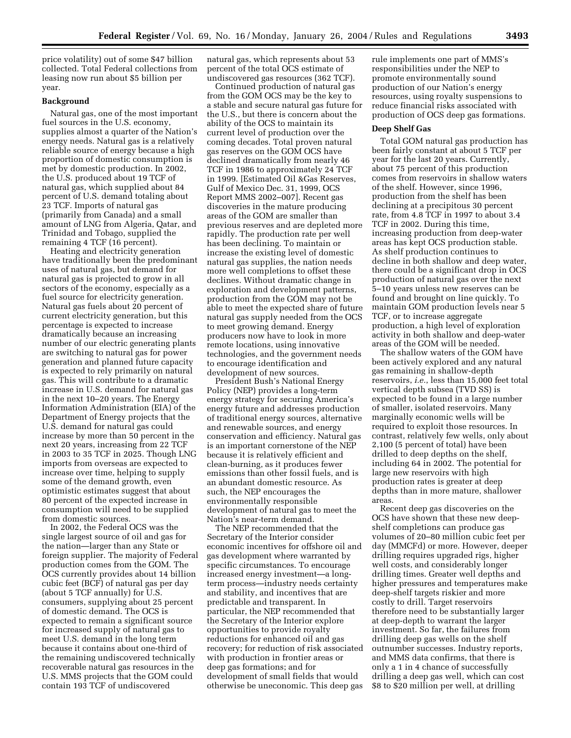price volatility) out of some \$47 billion collected. Total Federal collections from leasing now run about \$5 billion per year.

### **Background**

Natural gas, one of the most important fuel sources in the U.S. economy, supplies almost a quarter of the Nation's energy needs. Natural gas is a relatively reliable source of energy because a high proportion of domestic consumption is met by domestic production. In 2002, the U.S. produced about 19 TCF of natural gas, which supplied about 84 percent of U.S. demand totaling about 23 TCF. Imports of natural gas (primarily from Canada) and a small amount of LNG from Algeria, Qatar, and Trinidad and Tobago, supplied the remaining 4 TCF (16 percent).

Heating and electricity generation have traditionally been the predominant uses of natural gas, but demand for natural gas is projected to grow in all sectors of the economy, especially as a fuel source for electricity generation. Natural gas fuels about 20 percent of current electricity generation, but this percentage is expected to increase dramatically because an increasing number of our electric generating plants are switching to natural gas for power generation and planned future capacity is expected to rely primarily on natural gas. This will contribute to a dramatic increase in U.S. demand for natural gas in the next 10–20 years. The Energy Information Administration (EIA) of the Department of Energy projects that the U.S. demand for natural gas could increase by more than 50 percent in the next 20 years, increasing from 22 TCF in 2003 to 35 TCF in 2025. Though LNG imports from overseas are expected to increase over time, helping to supply some of the demand growth, even optimistic estimates suggest that about 80 percent of the expected increase in consumption will need to be supplied from domestic sources.

In 2002, the Federal OCS was the single largest source of oil and gas for the nation—larger than any State or foreign supplier. The majority of Federal production comes from the GOM. The OCS currently provides about 14 billion cubic feet (BCF) of natural gas per day (about 5 TCF annually) for U.S. consumers, supplying about 25 percent of domestic demand. The OCS is expected to remain a significant source for increased supply of natural gas to meet U.S. demand in the long term because it contains about one-third of the remaining undiscovered technically recoverable natural gas resources in the U.S. MMS projects that the GOM could contain 193 TCF of undiscovered

natural gas, which represents about 53 percent of the total OCS estimate of undiscovered gas resources (362 TCF).

Continued production of natural gas from the GOM OCS may be the key to a stable and secure natural gas future for the U.S., but there is concern about the ability of the OCS to maintain its current level of production over the coming decades. Total proven natural gas reserves on the GOM OCS have declined dramatically from nearly 46 TCF in 1986 to approximately 24 TCF in 1999. [Estimated Oil &Gas Reserves, Gulf of Mexico Dec. 31, 1999, OCS Report MMS 2002–007]. Recent gas discoveries in the mature producing areas of the GOM are smaller than previous reserves and are depleted more rapidly. The production rate per well has been declining. To maintain or increase the existing level of domestic natural gas supplies, the nation needs more well completions to offset these declines. Without dramatic change in exploration and development patterns, production from the GOM may not be able to meet the expected share of future natural gas supply needed from the OCS to meet growing demand. Energy producers now have to look in more remote locations, using innovative technologies, and the government needs to encourage identification and development of new sources

President Bush's National Energy Policy (NEP) provides a long-term energy strategy for securing America's energy future and addresses production of traditional energy sources, alternative and renewable sources, and energy conservation and efficiency. Natural gas is an important cornerstone of the NEP because it is relatively efficient and clean-burning, as it produces fewer emissions than other fossil fuels, and is an abundant domestic resource. As such, the NEP encourages the environmentally responsible development of natural gas to meet the Nation's near-term demand.

The NEP recommended that the Secretary of the Interior consider economic incentives for offshore oil and gas development where warranted by specific circumstances. To encourage increased energy investment—a longterm process—industry needs certainty and stability, and incentives that are predictable and transparent. In particular, the NEP recommended that the Secretary of the Interior explore opportunities to provide royalty reductions for enhanced oil and gas recovery; for reduction of risk associated with production in frontier areas or deep gas formations; and for development of small fields that would otherwise be uneconomic. This deep gas rule implements one part of MMS's responsibilities under the NEP to promote environmentally sound production of our Nation's energy resources, using royalty suspensions to reduce financial risks associated with production of OCS deep gas formations.

#### **Deep Shelf Gas**

Total GOM natural gas production has been fairly constant at about 5 TCF per year for the last 20 years. Currently, about 75 percent of this production comes from reservoirs in shallow waters of the shelf. However, since 1996, production from the shelf has been declining at a precipitous 30 percent rate, from 4.8 TCF in 1997 to about 3.4 TCF in 2002. During this time, increasing production from deep-water areas has kept OCS production stable. As shelf production continues to decline in both shallow and deep water, there could be a significant drop in OCS production of natural gas over the next 5–10 years unless new reserves can be found and brought on line quickly. To maintain GOM production levels near 5 TCF, or to increase aggregate production, a high level of exploration activity in both shallow and deep-water areas of the GOM will be needed.

The shallow waters of the GOM have been actively explored and any natural gas remaining in shallow-depth reservoirs, *i.e.*, less than 15,000 feet total vertical depth subsea (TVD SS) is expected to be found in a large number of smaller, isolated reservoirs. Many marginally economic wells will be required to exploit those resources. In contrast, relatively few wells, only about 2,100 (5 percent of total) have been drilled to deep depths on the shelf, including 64 in 2002. The potential for large new reservoirs with high production rates is greater at deep depths than in more mature, shallower areas.

Recent deep gas discoveries on the OCS have shown that these new deepshelf completions can produce gas volumes of 20–80 million cubic feet per day (MMCFd) or more. However, deeper drilling requires upgraded rigs, higher well costs, and considerably longer drilling times. Greater well depths and higher pressures and temperatures make deep-shelf targets riskier and more costly to drill. Target reservoirs therefore need to be substantially larger at deep-depth to warrant the larger investment. So far, the failures from drilling deep gas wells on the shelf outnumber successes. Industry reports, and MMS data confirms, that there is only a 1 in 4 chance of successfully drilling a deep gas well, which can cost \$8 to \$20 million per well, at drilling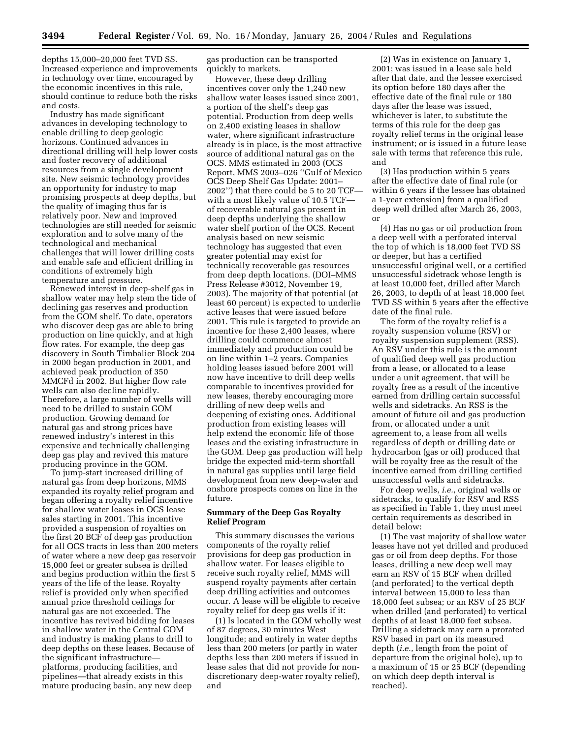depths 15,000–20,000 feet TVD SS. Increased experience and improvements in technology over time, encouraged by the economic incentives in this rule, should continue to reduce both the risks and costs.

Industry has made significant advances in developing technology to enable drilling to deep geologic horizons. Continued advances in directional drilling will help lower costs and foster recovery of additional resources from a single development site. New seismic technology provides an opportunity for industry to map promising prospects at deep depths, but the quality of imaging thus far is relatively poor. New and improved technologies are still needed for seismic exploration and to solve many of the technological and mechanical challenges that will lower drilling costs and enable safe and efficient drilling in conditions of extremely high temperature and pressure.

Renewed interest in deep-shelf gas in shallow water may help stem the tide of declining gas reserves and production from the GOM shelf. To date, operators who discover deep gas are able to bring production on line quickly, and at high flow rates. For example, the deep gas discovery in South Timbalier Block 204 in 2000 began production in 2001, and achieved peak production of 350 MMCFd in 2002. But higher flow rate wells can also decline rapidly. Therefore, a large number of wells will need to be drilled to sustain GOM production. Growing demand for natural gas and strong prices have renewed industry's interest in this expensive and technically challenging deep gas play and revived this mature producing province in the GOM.

To jump-start increased drilling of natural gas from deep horizons, MMS expanded its royalty relief program and began offering a royalty relief incentive for shallow water leases in OCS lease sales starting in 2001. This incentive provided a suspension of royalties on the first 20 BCF of deep gas production for all OCS tracts in less than 200 meters of water where a new deep gas reservoir 15,000 feet or greater subsea is drilled and begins production within the first 5 years of the life of the lease. Royalty relief is provided only when specified annual price threshold ceilings for natural gas are not exceeded. The incentive has revived bidding for leases in shallow water in the Central GOM and industry is making plans to drill to deep depths on these leases. Because of the significant infrastructure platforms, producing facilities, and pipelines—that already exists in this mature producing basin, any new deep

gas production can be transported quickly to markets.

However, these deep drilling incentives cover only the 1,240 new shallow water leases issued since 2001, a portion of the shelf's deep gas potential. Production from deep wells on 2,400 existing leases in shallow water, where significant infrastructure already is in place, is the most attractive source of additional natural gas on the OCS. MMS estimated in 2003 (OCS Report, MMS 2003–026 ''Gulf of Mexico OCS Deep Shelf Gas Update: 2001– 2002'') that there could be 5 to 20 TCF with a most likely value of 10.5 TCF of recoverable natural gas present in deep depths underlying the shallow water shelf portion of the OCS. Recent analysis based on new seismic technology has suggested that even greater potential may exist for technically recoverable gas resources from deep depth locations. (DOI–MMS Press Release #3012, November 19, 2003). The majority of that potential (at least 60 percent) is expected to underlie active leases that were issued before 2001. This rule is targeted to provide an incentive for these 2,400 leases, where drilling could commence almost immediately and production could be on line within 1–2 years. Companies holding leases issued before 2001 will now have incentive to drill deep wells comparable to incentives provided for new leases, thereby encouraging more drilling of new deep wells and deepening of existing ones. Additional production from existing leases will help extend the economic life of those leases and the existing infrastructure in the GOM. Deep gas production will help bridge the expected mid-term shortfall in natural gas supplies until large field development from new deep-water and onshore prospects comes on line in the future.

# **Summary of the Deep Gas Royalty Relief Program**

This summary discusses the various components of the royalty relief provisions for deep gas production in shallow water. For leases eligible to receive such royalty relief, MMS will suspend royalty payments after certain deep drilling activities and outcomes occur. A lease will be eligible to receive royalty relief for deep gas wells if it:

(1) Is located in the GOM wholly west of 87 degrees, 30 minutes West longitude; and entirely in water depths less than 200 meters (or partly in water depths less than 200 meters if issued in lease sales that did not provide for nondiscretionary deep-water royalty relief), and

(2) Was in existence on January 1, 2001; was issued in a lease sale held after that date, and the lessee exercised its option before 180 days after the effective date of the final rule or 180 days after the lease was issued, whichever is later, to substitute the terms of this rule for the deep gas royalty relief terms in the original lease instrument; or is issued in a future lease sale with terms that reference this rule, and

(3) Has production within 5 years after the effective date of final rule (or within 6 years if the lessee has obtained a 1-year extension) from a qualified deep well drilled after March 26, 2003, or

(4) Has no gas or oil production from a deep well with a perforated interval the top of which is 18,000 feet TVD SS or deeper, but has a certified unsuccessful original well, or a certified unsuccessful sidetrack whose length is at least 10,000 feet, drilled after March 26, 2003, to depth of at least 18,000 feet TVD SS within 5 years after the effective date of the final rule.

The form of the royalty relief is a royalty suspension volume (RSV) or royalty suspension supplement (RSS). An RSV under this rule is the amount of qualified deep well gas production from a lease, or allocated to a lease under a unit agreement, that will be royalty free as a result of the incentive earned from drilling certain successful wells and sidetracks. An RSS is the amount of future oil and gas production from, or allocated under a unit agreement to, a lease from all wells regardless of depth or drilling date or hydrocarbon (gas or oil) produced that will be royalty free as the result of the incentive earned from drilling certified unsuccessful wells and sidetracks.

For deep wells, *i.e.*, original wells or sidetracks, to qualify for RSV and RSS as specified in Table 1, they must meet certain requirements as described in detail below:

(1) The vast majority of shallow water leases have not yet drilled and produced gas or oil from deep depths. For those leases, drilling a new deep well may earn an RSV of 15 BCF when drilled (and perforated) to the vertical depth interval between 15,000 to less than 18,000 feet subsea; or an RSV of 25 BCF when drilled (and perforated) to vertical depths of at least 18,000 feet subsea. Drilling a sidetrack may earn a prorated RSV based in part on its measured depth (*i.e.*, length from the point of departure from the original hole), up to a maximum of 15 or 25 BCF (depending on which deep depth interval is reached).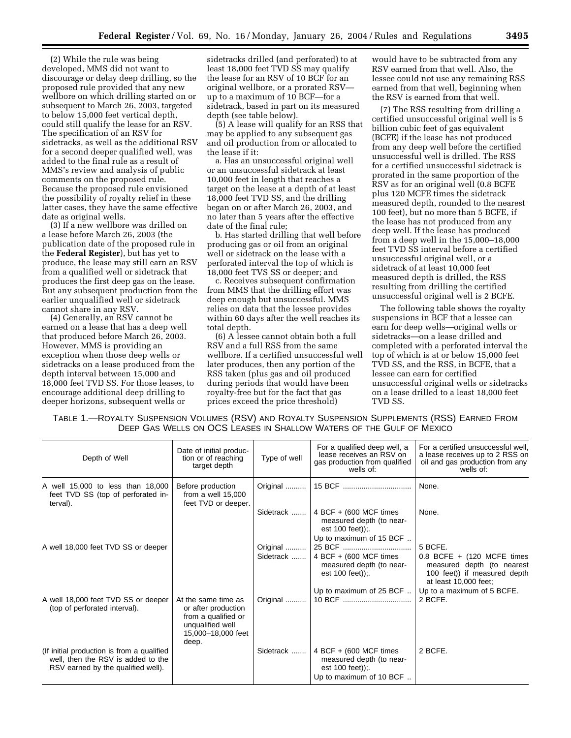(2) While the rule was being developed, MMS did not want to discourage or delay deep drilling, so the proposed rule provided that any new wellbore on which drilling started on or subsequent to March 26, 2003, targeted to below 15,000 feet vertical depth, could still qualify the lease for an RSV. The specification of an RSV for sidetracks, as well as the additional RSV for a second deeper qualified well, was added to the final rule as a result of MMS's review and analysis of public comments on the proposed rule. Because the proposed rule envisioned the possibility of royalty relief in these latter cases, they have the same effective date as original wells.

(3) If a new wellbore was drilled on a lease before March 26, 2003 (the publication date of the proposed rule in the **Federal Register**), but has yet to produce, the lease may still earn an RSV from a qualified well or sidetrack that produces the first deep gas on the lease. But any subsequent production from the earlier unqualified well or sidetrack cannot share in any RSV.

(4) Generally, an RSV cannot be earned on a lease that has a deep well that produced before March 26, 2003. However, MMS is providing an exception when those deep wells or sidetracks on a lease produced from the depth interval between 15,000 and 18,000 feet TVD SS. For those leases, to encourage additional deep drilling to deeper horizons, subsequent wells or

sidetracks drilled (and perforated) to at least 18,000 feet TVD SS may qualify the lease for an RSV of 10 BCF for an original wellbore, or a prorated RSV up to a maximum of 10 BCF—for a sidetrack, based in part on its measured depth (see table below).

(5) A lease will qualify for an RSS that may be applied to any subsequent gas and oil production from or allocated to the lease if it:

a. Has an unsuccessful original well or an unsuccessful sidetrack at least 10,000 feet in length that reaches a target on the lease at a depth of at least 18,000 feet TVD SS, and the drilling began on or after March 26, 2003, and no later than 5 years after the effective date of the final rule;

b. Has started drilling that well before producing gas or oil from an original well or sidetrack on the lease with a perforated interval the top of which is 18,000 feet TVS SS or deeper; and

c. Receives subsequent confirmation from MMS that the drilling effort was deep enough but unsuccessful. MMS relies on data that the lessee provides within 60 days after the well reaches its total depth.

(6) A lessee cannot obtain both a full RSV and a full RSS from the same wellbore. If a certified unsuccessful well later produces, then any portion of the RSS taken (plus gas and oil produced during periods that would have been royalty-free but for the fact that gas prices exceed the price threshold)

would have to be subtracted from any RSV earned from that well. Also, the lessee could not use any remaining RSS earned from that well, beginning when the RSV is earned from that well.

(7) The RSS resulting from drilling a certified unsuccessful original well is 5 billion cubic feet of gas equivalent (BCFE) if the lease has not produced from any deep well before the certified unsuccessful well is drilled. The RSS for a certified unsuccessful sidetrack is prorated in the same proportion of the RSV as for an original well (0.8 BCFE plus 120 MCFE times the sidetrack measured depth, rounded to the nearest 100 feet), but no more than 5 BCFE, if the lease has not produced from any deep well. If the lease has produced from a deep well in the 15,000–18,000 feet TVD SS interval before a certified unsuccessful original well, or a sidetrack of at least 10,000 feet measured depth is drilled, the RSS resulting from drilling the certified unsuccessful original well is 2 BCFE.

The following table shows the royalty suspensions in BCF that a lessee can earn for deep wells—original wells or sidetracks—on a lease drilled and completed with a perforated interval the top of which is at or below 15,000 feet TVD SS, and the RSS, in BCFE, that a lessee can earn for certified unsuccessful original wells or sidetracks on a lease drilled to a least 18,000 feet TVD SS.

| TABLE 1.—ROYALTY SUSPENSION VOLUMES (RSV) AND ROYALTY SUSPENSION SUPPLEMENTS (RSS) EARNED FROM |  |
|------------------------------------------------------------------------------------------------|--|
| DEEP GAS WELLS ON OCS LEASES IN SHALLOW WATERS OF THE GULF OF MEXICO                           |  |

| Depth of Well                                                                                                          | Date of initial produc-<br>tion or of reaching<br>target depth                                                       | Type of well          | For a qualified deep well, a<br>lease receives an RSV on<br>gas production from qualified<br>wells of: | For a certified unsuccessful well,<br>a lease receives up to 2 RSS on<br>oil and gas production from any<br>wells of:          |
|------------------------------------------------------------------------------------------------------------------------|----------------------------------------------------------------------------------------------------------------------|-----------------------|--------------------------------------------------------------------------------------------------------|--------------------------------------------------------------------------------------------------------------------------------|
| A well 15,000 to less than 18,000<br>feet TVD SS (top of perforated in-<br>terval).                                    | Before production<br>from a well 15,000<br>feet TVD or deeper.                                                       | Original              |                                                                                                        | None.                                                                                                                          |
|                                                                                                                        |                                                                                                                      | Sidetrack             | 4 BCF + (600 MCF times)<br>measured depth (to near-<br>est $100$ feet));                               | None.                                                                                                                          |
|                                                                                                                        |                                                                                                                      |                       | Up to maximum of 15 BCF                                                                                |                                                                                                                                |
| A well 18,000 feet TVD SS or deeper                                                                                    |                                                                                                                      | Original<br>Sidetrack | 4 BCF + (600 MCF times<br>measured depth (to near-<br>est $100$ feet));                                | 5 BCFE.<br>$0.8$ BCFE + (120 MCFE times<br>measured depth (to nearest<br>100 feet)) if measured depth<br>at least 10,000 feet; |
|                                                                                                                        |                                                                                                                      |                       | Up to maximum of 25 BCF                                                                                | Up to a maximum of 5 BCFE.                                                                                                     |
| A well 18,000 feet TVD SS or deeper<br>(top of perforated interval).                                                   | At the same time as<br>or after production<br>from a qualified or<br>unqualified well<br>15,000-18,000 feet<br>deep. | Original              |                                                                                                        | 2 BCFE.                                                                                                                        |
| (If initial production is from a qualified<br>well, then the RSV is added to the<br>RSV earned by the qualified well). |                                                                                                                      | Sidetrack             | 4 BCF + (600 MCF times)<br>measured depth (to near-<br>est $100$ feet));<br>Up to maximum of 10 BCF    | 2 BCFE.                                                                                                                        |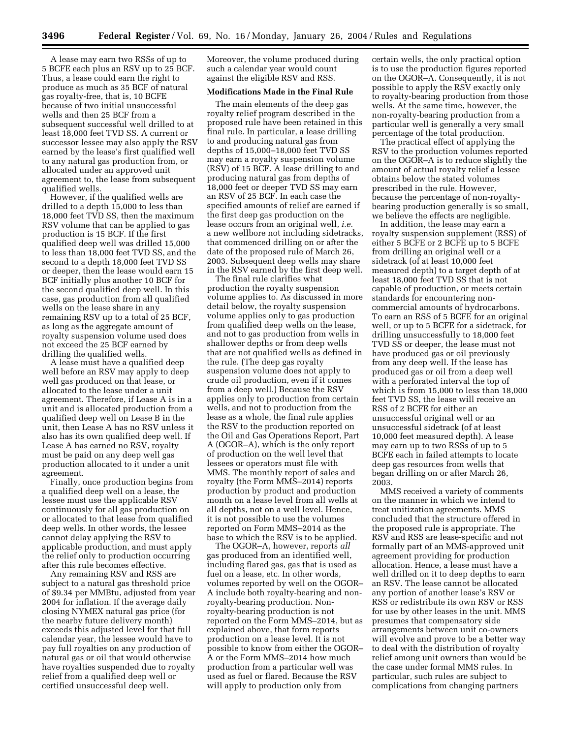A lease may earn two RSSs of up to 5 BCFE each plus an RSV up to 25 BCF. Thus, a lease could earn the right to produce as much as 35 BCF of natural gas royalty-free, that is, 10 BCFE because of two initial unsuccessful wells and then 25 BCF from a subsequent successful well drilled to at least 18,000 feet TVD SS. A current or successor lessee may also apply the RSV earned by the lease's first qualified well to any natural gas production from, or allocated under an approved unit agreement to, the lease from subsequent qualified wells.

However, if the qualified wells are drilled to a depth 15,000 to less than 18,000 feet TVD SS, then the maximum RSV volume that can be applied to gas production is 15 BCF. If the first qualified deep well was drilled 15,000 to less than 18,000 feet TVD SS, and the second to a depth 18,000 feet TVD SS or deeper, then the lease would earn 15 BCF initially plus another 10 BCF for the second qualified deep well. In this case, gas production from all qualified wells on the lease share in any remaining RSV up to a total of 25 BCF, as long as the aggregate amount of royalty suspension volume used does not exceed the 25 BCF earned by drilling the qualified wells.

A lease must have a qualified deep well before an RSV may apply to deep well gas produced on that lease, or allocated to the lease under a unit agreement. Therefore, if Lease A is in a unit and is allocated production from a qualified deep well on Lease B in the unit, then Lease A has no RSV unless it also has its own qualified deep well. If Lease A has earned no RSV, royalty must be paid on any deep well gas production allocated to it under a unit agreement.

Finally, once production begins from a qualified deep well on a lease, the lessee must use the applicable RSV continuously for all gas production on or allocated to that lease from qualified deep wells. In other words, the lessee cannot delay applying the RSV to applicable production, and must apply the relief only to production occurring after this rule becomes effective.

Any remaining RSV and RSS are subject to a natural gas threshold price of \$9.34 per MMBtu, adjusted from year 2004 for inflation. If the average daily closing NYMEX natural gas price (for the nearby future delivery month) exceeds this adjusted level for that full calendar year, the lessee would have to pay full royalties on any production of natural gas or oil that would otherwise have royalties suspended due to royalty relief from a qualified deep well or certified unsuccessful deep well.

Moreover, the volume produced during such a calendar year would count against the eligible RSV and RSS.

#### **Modifications Made in the Final Rule**

The main elements of the deep gas royalty relief program described in the proposed rule have been retained in this final rule. In particular, a lease drilling to and producing natural gas from depths of 15,000–18,000 feet TVD SS may earn a royalty suspension volume (RSV) of 15 BCF. A lease drilling to and producing natural gas from depths of 18,000 feet or deeper TVD SS may earn an RSV of 25 BCF. In each case the specified amounts of relief are earned if the first deep gas production on the lease occurs from an original well, *i.e.* a new wellbore not including sidetracks, that commenced drilling on or after the date of the proposed rule of March 26, 2003. Subsequent deep wells may share in the RSV earned by the first deep well.

The final rule clarifies what production the royalty suspension volume applies to. As discussed in more detail below, the royalty suspension volume applies only to gas production from qualified deep wells on the lease, and not to gas production from wells in shallower depths or from deep wells that are not qualified wells as defined in the rule. (The deep gas royalty suspension volume does not apply to crude oil production, even if it comes from a deep well.) Because the RSV applies only to production from certain wells, and not to production from the lease as a whole, the final rule applies the RSV to the production reported on the Oil and Gas Operations Report, Part A (OGOR–A), which is the only report of production on the well level that lessees or operators must file with MMS. The monthly report of sales and royalty (the Form MMS–2014) reports production by product and production month on a lease level from all wells at all depths, not on a well level. Hence, it is not possible to use the volumes reported on Form MMS–2014 as the base to which the RSV is to be applied.

The OGOR–A, however, reports *all* gas produced from an identified well, including flared gas, gas that is used as fuel on a lease, etc. In other words, volumes reported by well on the OGOR– A include both royalty-bearing and nonroyalty-bearing production. Nonroyalty-bearing production is not reported on the Form MMS–2014, but as explained above, that form reports production on a lease level. It is not possible to know from either the OGOR– A or the Form MMS–2014 how much production from a particular well was used as fuel or flared. Because the RSV will apply to production only from

certain wells, the only practical option is to use the production figures reported on the OGOR–A. Consequently, it is not possible to apply the RSV exactly only to royalty-bearing production from those wells. At the same time, however, the non-royalty-bearing production from a particular well is generally a very small percentage of the total production.

The practical effect of applying the RSV to the production volumes reported on the OGOR–A is to reduce slightly the amount of actual royalty relief a lessee obtains below the stated volumes prescribed in the rule. However, because the percentage of non-royaltybearing production generally is so small, we believe the effects are negligible.

In addition, the lease may earn a royalty suspension supplement (RSS) of either 5 BCFE or 2 BCFE up to 5 BCFE from drilling an original well or a sidetrack (of at least 10,000 feet measured depth) to a target depth of at least 18,000 feet TVD SS that is not capable of production, or meets certain standards for encountering noncommercial amounts of hydrocarbons. To earn an RSS of 5 BCFE for an original well, or up to 5 BCFE for a sidetrack, for drilling unsuccessfully to 18,000 feet TVD SS or deeper, the lease must not have produced gas or oil previously from any deep well. If the lease has produced gas or oil from a deep well with a perforated interval the top of which is from 15,000 to less than 18,000 feet TVD SS, the lease will receive an RSS of 2 BCFE for either an unsuccessful original well or an unsuccessful sidetrack (of at least 10,000 feet measured depth). A lease may earn up to two RSSs of up to 5 BCFE each in failed attempts to locate deep gas resources from wells that began drilling on or after March 26, 2003.

MMS received a variety of comments on the manner in which we intend to treat unitization agreements. MMS concluded that the structure offered in the proposed rule is appropriate. The RSV and RSS are lease-specific and not formally part of an MMS-approved unit agreement providing for production allocation. Hence, a lease must have a well drilled on it to deep depths to earn an RSV. The lease cannot be allocated any portion of another lease's RSV or RSS or redistribute its own RSV or RSS for use by other leases in the unit. MMS presumes that compensatory side arrangements between unit co-owners will evolve and prove to be a better way to deal with the distribution of royalty relief among unit owners than would be the case under formal MMS rules. In particular, such rules are subject to complications from changing partners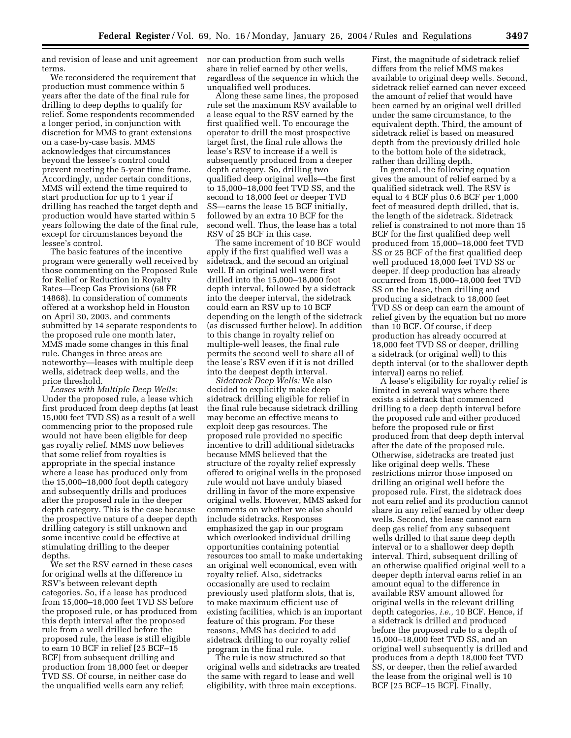and revision of lease and unit agreement nor can production from such wells terms.

We reconsidered the requirement that production must commence within 5 years after the date of the final rule for drilling to deep depths to qualify for relief. Some respondents recommended a longer period, in conjunction with discretion for MMS to grant extensions on a case-by-case basis. MMS acknowledges that circumstances beyond the lessee's control could prevent meeting the 5-year time frame. Accordingly, under certain conditions, MMS will extend the time required to start production for up to 1 year if drilling has reached the target depth and production would have started within 5 years following the date of the final rule, except for circumstances beyond the lessee's control.

The basic features of the incentive program were generally well received by those commenting on the Proposed Rule for Relief or Reduction in Royalty Rates—Deep Gas Provisions (68 FR 14868). In consideration of comments offered at a workshop held in Houston on April 30, 2003, and comments submitted by 14 separate respondents to the proposed rule one month later, MMS made some changes in this final rule. Changes in three areas are noteworthy—leases with multiple deep wells, sidetrack deep wells, and the price threshold.

*Leases with Multiple Deep Wells:* Under the proposed rule, a lease which first produced from deep depths (at least 15,000 feet TVD SS) as a result of a well commencing prior to the proposed rule would not have been eligible for deep gas royalty relief. MMS now believes that some relief from royalties is appropriate in the special instance where a lease has produced only from the 15,000–18,000 foot depth category and subsequently drills and produces after the proposed rule in the deeper depth category. This is the case because the prospective nature of a deeper depth drilling category is still unknown and some incentive could be effective at stimulating drilling to the deeper depths.

We set the RSV earned in these cases for original wells at the difference in RSV's between relevant depth categories. So, if a lease has produced from 15,000–18,000 feet TVD SS before the proposed rule, or has produced from this depth interval after the proposed rule from a well drilled before the proposed rule, the lease is still eligible to earn 10 BCF in relief [25 BCF–15 BCF] from subsequent drilling and production from 18,000 feet or deeper TVD SS. Of course, in neither case do the unqualified wells earn any relief;

share in relief earned by other wells, regardless of the sequence in which the unqualified well produces.

Along these same lines, the proposed rule set the maximum RSV available to a lease equal to the RSV earned by the first qualified well. To encourage the operator to drill the most prospective target first, the final rule allows the lease's RSV to increase if a well is subsequently produced from a deeper depth category. So, drilling two qualified deep original wells—the first to 15,000–18,000 feet TVD SS, and the second to 18,000 feet or deeper TVD SS—earns the lease 15 BCF initially, followed by an extra 10 BCF for the second well. Thus, the lease has a total RSV of 25 BCF in this case.

The same increment of 10 BCF would apply if the first qualified well was a sidetrack, and the second an original well. If an original well were first drilled into the 15,000–18,000 foot depth interval, followed by a sidetrack into the deeper interval, the sidetrack could earn an RSV up to 10 BCF depending on the length of the sidetrack (as discussed further below). In addition to this change in royalty relief on multiple-well leases, the final rule permits the second well to share all of the lease's RSV even if it is not drilled into the deepest depth interval.

*Sidetrack Deep Wells:* We also decided to explicitly make deep sidetrack drilling eligible for relief in the final rule because sidetrack drilling may become an effective means to exploit deep gas resources. The proposed rule provided no specific incentive to drill additional sidetracks because MMS believed that the structure of the royalty relief expressly offered to original wells in the proposed rule would not have unduly biased drilling in favor of the more expensive original wells. However, MMS asked for comments on whether we also should include sidetracks. Responses emphasized the gap in our program which overlooked individual drilling opportunities containing potential resources too small to make undertaking an original well economical, even with royalty relief. Also, sidetracks occasionally are used to reclaim previously used platform slots, that is, to make maximum efficient use of existing facilities, which is an important feature of this program. For these reasons, MMS has decided to add sidetrack drilling to our royalty relief program in the final rule.

The rule is now structured so that original wells and sidetracks are treated the same with regard to lease and well eligibility, with three main exceptions.

First, the magnitude of sidetrack relief differs from the relief MMS makes available to original deep wells. Second, sidetrack relief earned can never exceed the amount of relief that would have been earned by an original well drilled under the same circumstance, to the equivalent depth. Third, the amount of sidetrack relief is based on measured depth from the previously drilled hole to the bottom hole of the sidetrack, rather than drilling depth.

In general, the following equation gives the amount of relief earned by a qualified sidetrack well. The RSV is equal to 4 BCF plus 0.6 BCF per 1,000 feet of measured depth drilled, that is, the length of the sidetrack. Sidetrack relief is constrained to not more than 15 BCF for the first qualified deep well produced from 15,000–18,000 feet TVD SS or 25 BCF of the first qualified deep well produced 18,000 feet TVD SS or deeper. If deep production has already occurred from 15,000–18,000 feet TVD SS on the lease, then drilling and producing a sidetrack to 18,000 feet TVD SS or deep can earn the amount of relief given by the equation but no more than 10 BCF. Of course, if deep production has already occurred at 18,000 feet TVD SS or deeper, drilling a sidetrack (or original well) to this depth interval (or to the shallower depth interval) earns no relief.

A lease's eligibility for royalty relief is limited in several ways where there exists a sidetrack that commenced drilling to a deep depth interval before the proposed rule and either produced before the proposed rule or first produced from that deep depth interval after the date of the proposed rule. Otherwise, sidetracks are treated just like original deep wells. These restrictions mirror those imposed on drilling an original well before the proposed rule. First, the sidetrack does not earn relief and its production cannot share in any relief earned by other deep wells. Second, the lease cannot earn deep gas relief from any subsequent wells drilled to that same deep depth interval or to a shallower deep depth interval. Third, subsequent drilling of an otherwise qualified original well to a deeper depth interval earns relief in an amount equal to the difference in available RSV amount allowed for original wells in the relevant drilling depth categories, *i.e.,* 10 BCF. Hence, if a sidetrack is drilled and produced before the proposed rule to a depth of 15,000–18,000 feet TVD SS, and an original well subsequently is drilled and produces from a depth 18,000 feet TVD SS, or deeper, then the relief awarded the lease from the original well is 10 BCF [25 BCF–15 BCF]. Finally,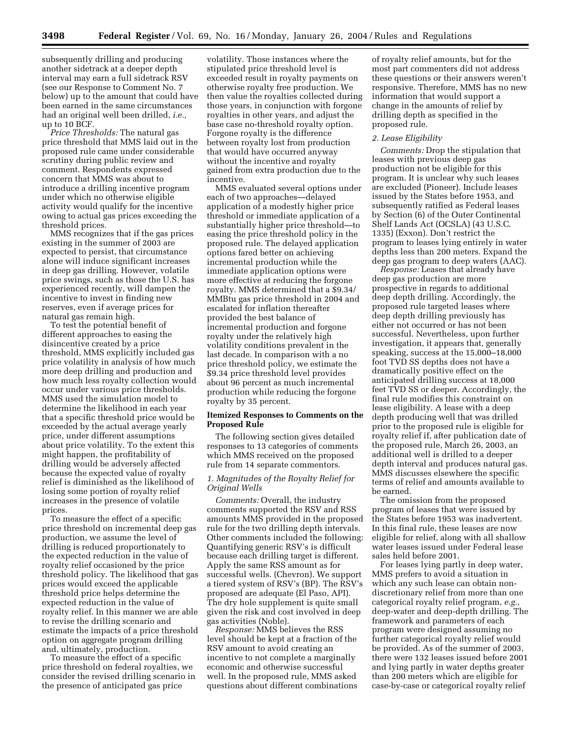subsequently drilling and producing another sidetrack at a deeper depth interval may earn a full sidetrack RSV (see our Response to Comment No. 7 below) up to the amount that could have been earned in the same circumstances had an original well been drilled, *i.e.,* up to 10 BCF.

*Price Thresholds:* The natural gas price threshold that MMS laid out in the proposed rule came under considerable scrutiny during public review and comment. Respondents expressed concern that MMS was about to introduce a drilling incentive program under which no otherwise eligible activity would qualify for the incentive owing to actual gas prices exceeding the threshold prices.

MMS recognizes that if the gas prices existing in the summer of 2003 are expected to persist, that circumstance alone will induce significant increases in deep gas drilling. However, volatile price swings, such as those the U.S. has experienced recently, will dampen the incentive to invest in finding new reserves, even if average prices for natural gas remain high.

To test the potential benefit of different approaches to easing the disincentive created by a price threshold, MMS explicitly included gas price volatility in analysis of how much more deep drilling and production and how much less royalty collection would occur under various price thresholds. MMS used the simulation model to determine the likelihood in each year that a specific threshold price would be exceeded by the actual average yearly price, under different assumptions about price volatility. To the extent this might happen, the profitability of drilling would be adversely affected because the expected value of royalty relief is diminished as the likelihood of losing some portion of royalty relief increases in the presence of volatile prices.

To measure the effect of a specific price threshold on incremental deep gas production, we assume the level of drilling is reduced proportionately to the expected reduction in the value of royalty relief occasioned by the price threshold policy. The likelihood that gas prices would exceed the applicable threshold price helps determine the expected reduction in the value of royalty relief. In this manner we are able to revise the drilling scenario and estimate the impacts of a price threshold option on aggregate program drilling and, ultimately, production.

To measure the effect of a specific price threshold on federal royalties, we consider the revised drilling scenario in the presence of anticipated gas price

volatility. Those instances where the stipulated price threshold level is exceeded result in royalty payments on otherwise royalty free production. We then value the royalties collected during those years, in conjunction with forgone royalties in other years, and adjust the base case no-threshold royalty option. Forgone royalty is the difference between royalty lost from production that would have occurred anyway without the incentive and royalty gained from extra production due to the incentive.

MMS evaluated several options under each of two approaches—delayed application of a modestly higher price threshold or immediate application of a substantially higher price threshold—to easing the price threshold policy in the proposed rule. The delayed application options fared better on achieving incremental production while the immediate application options were more effective at reducing the forgone royalty. MMS determined that a \$9.34/ MMBtu gas price threshold in 2004 and escalated for inflation thereafter provided the best balance of incremental production and forgone royalty under the relatively high volatility conditions prevalent in the last decade. In comparison with a no price threshold policy, we estimate the \$9.34 price threshold level provides about 96 percent as much incremental production while reducing the forgone royalty by 35 percent.

### **Itemized Responses to Comments on the Proposed Rule**

The following section gives detailed responses to 13 categories of comments which MMS received on the proposed rule from 14 separate commentors.

### *1. Magnitudes of the Royalty Relief for Original Wells*

*Comments:* Overall, the industry comments supported the RSV and RSS amounts MMS provided in the proposed rule for the two drilling depth intervals. Other comments included the following: Quantifying generic RSV's is difficult because each drilling target is different. Apply the same RSS amount as for successful wells. (Chevron). We support a tiered system of RSV's (BP). The RSV's proposed are adequate (El Paso, API). The dry hole supplement is quite small given the risk and cost involved in deep gas activities (Noble).

*Response:* MMS believes the RSS level should be kept at a fraction of the RSV amount to avoid creating an incentive to not complete a marginally economic and otherwise successful well. In the proposed rule, MMS asked questions about different combinations

of royalty relief amounts, but for the most part commenters did not address these questions or their answers weren't responsive. Therefore, MMS has no new information that would support a change in the amounts of relief by drilling depth as specified in the proposed rule.

### *2. Lease Eligibility*

*Comments:* Drop the stipulation that leases with previous deep gas production not be eligible for this program. It is unclear why such leases are excluded (Pioneer). Include leases issued by the States before 1953, and subsequently ratified as Federal leases by Section (6) of the Outer Continental Shelf Lands Act (OCSLA) (43 U.S.C. 1335) (Exxon). Don't restrict the program to leases lying entirely in water depths less than 200 meters. Expand the deep gas program to deep waters (AAC).

*Response:* Leases that already have deep gas production are more prospective in regards to additional deep depth drilling. Accordingly, the proposed rule targeted leases where deep depth drilling previously has either not occurred or has not been successful. Nevertheless, upon further investigation, it appears that, generally speaking, success at the 15,000–18,000 foot TVD SS depths does not have a dramatically positive effect on the anticipated drilling success at 18,000 feet TVD SS or deeper. Accordingly, the final rule modifies this constraint on lease eligibility. A lease with a deep depth producing well that was drilled prior to the proposed rule is eligible for royalty relief if, after publication date of the proposed rule, March 26, 2003, an additional well is drilled to a deeper depth interval and produces natural gas. MMS discusses elsewhere the specific terms of relief and amounts available to be earned.

The omission from the proposed program of leases that were issued by the States before 1953 was inadvertent. In this final rule, these leases are now eligible for relief, along with all shallow water leases issued under Federal lease sales held before 2001.

For leases lying partly in deep water, MMS prefers to avoid a situation in which any such lease can obtain nondiscretionary relief from more than one categorical royalty relief program, *e.g.,* deep-water and deep-depth drilling. The framework and parameters of each program were designed assuming no further categorical royalty relief would be provided. As of the summer of 2003, there were 132 leases issued before 2001 and lying partly in water depths greater than 200 meters which are eligible for case-by-case or categorical royalty relief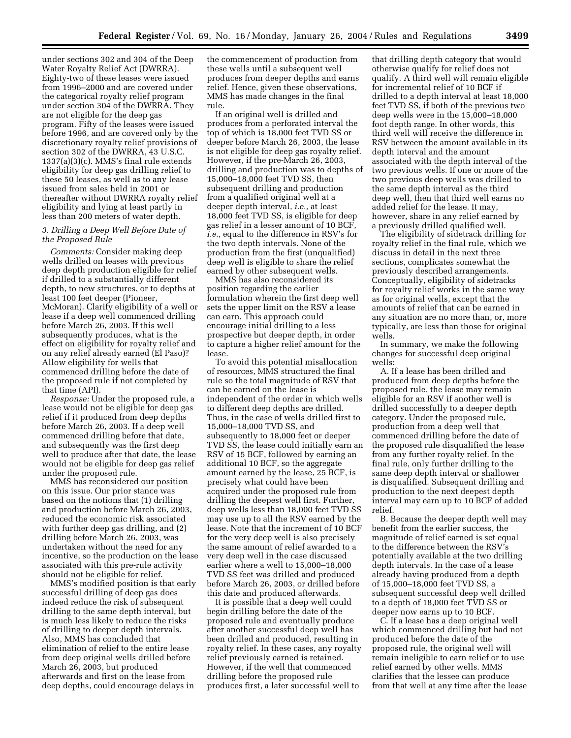under sections 302 and 304 of the Deep Water Royalty Relief Act (DWRRA). Eighty-two of these leases were issued from 1996–2000 and are covered under the categorical royalty relief program under section 304 of the DWRRA. They are not eligible for the deep gas program. Fifty of the leases were issued before 1996, and are covered only by the discretionary royalty relief provisions of section 302 of the DWRRA, 43 U.S.C. 1337(a)(3)(c). MMS's final rule extends eligibility for deep gas drilling relief to these 50 leases, as well as to any lease issued from sales held in 2001 or thereafter without DWRRA royalty relief eligibility and lying at least partly in less than 200 meters of water depth.

## *3. Drilling a Deep Well Before Date of the Proposed Rule*

*Comments:* Consider making deep wells drilled on leases with previous deep depth production eligible for relief if drilled to a substantially different depth, to new structures, or to depths at least 100 feet deeper (Pioneer, McMoran). Clarify eligibility of a well or lease if a deep well commenced drilling before March 26, 2003. If this well subsequently produces, what is the effect on eligibility for royalty relief and on any relief already earned (El Paso)? Allow eligibility for wells that commenced drilling before the date of the proposed rule if not completed by that time (API).

*Response:* Under the proposed rule, a lease would not be eligible for deep gas relief if it produced from deep depths before March 26, 2003. If a deep well commenced drilling before that date, and subsequently was the first deep well to produce after that date, the lease would not be eligible for deep gas relief under the proposed rule.

MMS has reconsidered our position on this issue. Our prior stance was based on the notions that (1) drilling and production before March 26, 2003, reduced the economic risk associated with further deep gas drilling, and (2) drilling before March 26, 2003, was undertaken without the need for any incentive, so the production on the lease associated with this pre-rule activity should not be eligible for relief.

MMS's modified position is that early successful drilling of deep gas does indeed reduce the risk of subsequent drilling to the same depth interval, but is much less likely to reduce the risks of drilling to deeper depth intervals. Also, MMS has concluded that elimination of relief to the entire lease from deep original wells drilled before March 26, 2003, but produced afterwards and first on the lease from deep depths, could encourage delays in

the commencement of production from these wells until a subsequent well produces from deeper depths and earns relief. Hence, given these observations, MMS has made changes in the final rule.

If an original well is drilled and produces from a perforated interval the top of which is 18,000 feet TVD SS or deeper before March 26, 2003, the lease is not eligible for deep gas royalty relief. However, if the pre-March 26, 2003, drilling and production was to depths of 15,000–18,000 feet TVD SS, then subsequent drilling and production from a qualified original well at a deeper depth interval, *i.e.,* at least 18,000 feet TVD SS, is eligible for deep gas relief in a lesser amount of 10 BCF, *i.e.,* equal to the difference in RSV's for the two depth intervals. None of the production from the first (unqualified) deep well is eligible to share the relief earned by other subsequent wells.

MMS has also reconsidered its position regarding the earlier formulation wherein the first deep well sets the upper limit on the RSV a lease can earn. This approach could encourage initial drilling to a less prospective but deeper depth, in order to capture a higher relief amount for the lease.

To avoid this potential misallocation of resources, MMS structured the final rule so the total magnitude of RSV that can be earned on the lease is independent of the order in which wells to different deep depths are drilled. Thus, in the case of wells drilled first to 15,000–18,000 TVD SS, and subsequently to 18,000 feet or deeper TVD SS, the lease could initially earn an RSV of 15 BCF, followed by earning an additional 10 BCF, so the aggregate amount earned by the lease, 25 BCF, is precisely what could have been acquired under the proposed rule from drilling the deepest well first. Further, deep wells less than 18,000 feet TVD SS may use up to all the RSV earned by the lease. Note that the increment of 10 BCF for the very deep well is also precisely the same amount of relief awarded to a very deep well in the case discussed earlier where a well to 15,000–18,000 TVD SS feet was drilled and produced before March 26, 2003, or drilled before this date and produced afterwards.

It is possible that a deep well could begin drilling before the date of the proposed rule and eventually produce after another successful deep well has been drilled and produced, resulting in royalty relief. In these cases, any royalty relief previously earned is retained. However, if the well that commenced drilling before the proposed rule produces first, a later successful well to

that drilling depth category that would otherwise qualify for relief does not qualify. A third well will remain eligible for incremental relief of 10 BCF if drilled to a depth interval at least 18,000 feet TVD SS, if both of the previous two deep wells were in the 15,000–18,000 foot depth range. In other words, this third well will receive the difference in RSV between the amount available in its depth interval and the amount associated with the depth interval of the two previous wells. If one or more of the two previous deep wells was drilled to the same depth interval as the third deep well, then that third well earns no added relief for the lease. It may, however, share in any relief earned by a previously drilled qualified well.

The eligibility of sidetrack drilling for royalty relief in the final rule, which we discuss in detail in the next three sections, complicates somewhat the previously described arrangements. Conceptually, eligibility of sidetracks for royalty relief works in the same way as for original wells, except that the amounts of relief that can be earned in any situation are no more than, or, more typically, are less than those for original wells.

In summary, we make the following changes for successful deep original wells:

A. If a lease has been drilled and produced from deep depths before the proposed rule, the lease may remain eligible for an RSV if another well is drilled successfully to a deeper depth category. Under the proposed rule, production from a deep well that commenced drilling before the date of the proposed rule disqualified the lease from any further royalty relief. In the final rule, only further drilling to the same deep depth interval or shallower is disqualified. Subsequent drilling and production to the next deepest depth interval may earn up to 10 BCF of added relief.

B. Because the deeper depth well may benefit from the earlier success, the magnitude of relief earned is set equal to the difference between the RSV's potentially available at the two drilling depth intervals. In the case of a lease already having produced from a depth of 15,000–18,000 feet TVD SS, a subsequent successful deep well drilled to a depth of 18,000 feet TVD SS or deeper now earns up to 10 BCF.

C. If a lease has a deep original well which commenced drilling but had not produced before the date of the proposed rule, the original well will remain ineligible to earn relief or to use relief earned by other wells. MMS clarifies that the lessee can produce from that well at any time after the lease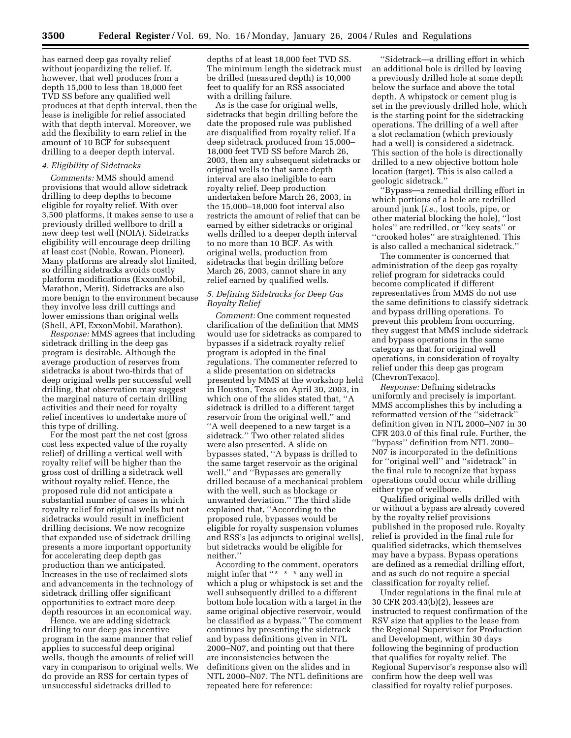has earned deep gas royalty relief without jeopardizing the relief. If, however, that well produces from a depth 15,000 to less than 18,000 feet TVD SS before any qualified well produces at that depth interval, then the lease is ineligible for relief associated with that depth interval. Moreover, we add the flexibility to earn relief in the amount of 10 BCF for subsequent drilling to a deeper depth interval.

#### *4. Eligibility of Sidetracks*

*Comments:* MMS should amend provisions that would allow sidetrack drilling to deep depths to become eligible for royalty relief. With over 3,500 platforms, it makes sense to use a previously drilled wellbore to drill a new deep test well (NOIA). Sidetracks eligibility will encourage deep drilling at least cost (Noble, Rowan, Pioneer). Many platforms are already slot limited, so drilling sidetracks avoids costly platform modifications (ExxonMobil, Marathon, Merit). Sidetracks are also more benign to the environment because they involve less drill cuttings and lower emissions than original wells (Shell, API, ExxonMobil, Marathon).

*Response:* MMS agrees that including sidetrack drilling in the deep gas program is desirable. Although the average production of reserves from sidetracks is about two-thirds that of deep original wells per successful well drilling, that observation may suggest the marginal nature of certain drilling activities and their need for royalty relief incentives to undertake more of this type of drilling.

For the most part the net cost (gross cost less expected value of the royalty relief) of drilling a vertical well with royalty relief will be higher than the gross cost of drilling a sidetrack well without royalty relief. Hence, the proposed rule did not anticipate a substantial number of cases in which royalty relief for original wells but not sidetracks would result in inefficient drilling decisions. We now recognize that expanded use of sidetrack drilling presents a more important opportunity for accelerating deep depth gas production than we anticipated. Increases in the use of reclaimed slots and advancements in the technology of sidetrack drilling offer significant opportunities to extract more deep depth resources in an economical way.

Hence, we are adding sidetrack drilling to our deep gas incentive program in the same manner that relief applies to successful deep original wells, though the amounts of relief will vary in comparison to original wells. We do provide an RSS for certain types of unsuccessful sidetracks drilled to

depths of at least 18,000 feet TVD SS. The minimum length the sidetrack must be drilled (measured depth) is 10,000 feet to qualify for an RSS associated with a drilling failure.

As is the case for original wells, sidetracks that begin drilling before the date the proposed rule was published are disqualified from royalty relief. If a deep sidetrack produced from 15,000– 18,000 feet TVD SS before March 26, 2003, then any subsequent sidetracks or original wells to that same depth interval are also ineligible to earn royalty relief. Deep production undertaken before March 26, 2003, in the 15,000–18,000 foot interval also restricts the amount of relief that can be earned by either sidetracks or original wells drilled to a deeper depth interval to no more than 10 BCF. As with original wells, production from sidetracks that begin drilling before March 26, 2003, cannot share in any relief earned by qualified wells.

#### *5. Defining Sidetracks for Deep Gas Royalty Relief*

*Comment:* One comment requested clarification of the definition that MMS would use for sidetracks as compared to bypasses if a sidetrack royalty relief program is adopted in the final regulations. The commenter referred to a slide presentation on sidetracks presented by MMS at the workshop held in Houston, Texas on April 30, 2003, in which one of the slides stated that, ''A sidetrack is drilled to a different target reservoir from the original well,'' and ''A well deepened to a new target is a sidetrack.'' Two other related slides were also presented. A slide on bypasses stated, ''A bypass is drilled to the same target reservoir as the original well,'' and ''Bypasses are generally drilled because of a mechanical problem with the well, such as blockage or unwanted deviation.'' The third slide explained that, ''According to the proposed rule, bypasses would be eligible for royalty suspension volumes and RSS's [as adjuncts to original wells], but sidetracks would be eligible for neither.''

According to the comment, operators might infer that ''\* \* \* any well in which a plug or whipstock is set and the well subsequently drilled to a different bottom hole location with a target in the same original objective reservoir, would be classified as a bypass.'' The comment continues by presenting the sidetrack and bypass definitions given in NTL 2000–N07, and pointing out that there are inconsistencies between the definitions given on the slides and in NTL 2000–N07. The NTL definitions are repeated here for reference:

''Sidetrack—a drilling effort in which an additional hole is drilled by leaving a previously drilled hole at some depth below the surface and above the total depth. A whipstock or cement plug is set in the previously drilled hole, which is the starting point for the sidetracking operations. The drilling of a well after a slot reclamation (which previously had a well) is considered a sidetrack. This section of the hole is directionally drilled to a new objective bottom hole location (target). This is also called a geologic sidetrack.''

''Bypass—a remedial drilling effort in which portions of a hole are redrilled around junk (*i.e.*, lost tools, pipe, or other material blocking the hole), ''lost holes'' are redrilled, or ''key seats'' or ''crooked holes'' are straightened. This is also called a mechanical sidetrack.''

The commenter is concerned that administration of the deep gas royalty relief program for sidetracks could become complicated if different representatives from MMS do not use the same definitions to classify sidetrack and bypass drilling operations. To prevent this problem from occurring, they suggest that MMS include sidetrack and bypass operations in the same category as that for original well operations, in consideration of royalty relief under this deep gas program (ChevronTexaco).

*Response:* Defining sidetracks uniformly and precisely is important. MMS accomplishes this by including a reformatted version of the ''sidetrack'' definition given in NTL 2000–N07 in 30 CFR 203.0 of this final rule. Further, the ''bypass'' definition from NTL 2000– N07 is incorporated in the definitions for ''original well'' and ''sidetrack'' in the final rule to recognize that bypass operations could occur while drilling either type of wellbore.

Qualified original wells drilled with or without a bypass are already covered by the royalty relief provisions published in the proposed rule. Royalty relief is provided in the final rule for qualified sidetracks, which themselves may have a bypass. Bypass operations are defined as a remedial drilling effort, and as such do not require a special classification for royalty relief.

Under regulations in the final rule at 30 CFR 203.43(b)(2), lessees are instructed to request confirmation of the RSV size that applies to the lease from the Regional Supervisor for Production and Development, within 30 days following the beginning of production that qualifies for royalty relief. The Regional Supervisor's response also will confirm how the deep well was classified for royalty relief purposes.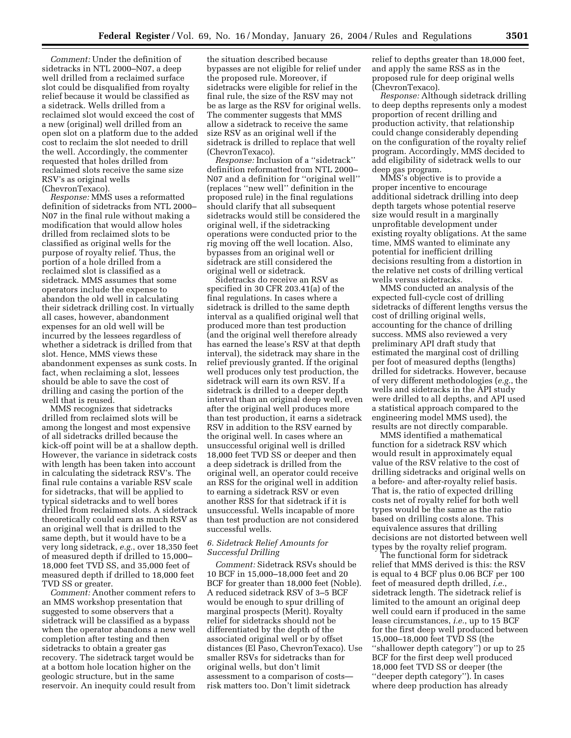*Comment:* Under the definition of sidetracks in NTL 2000–N07, a deep well drilled from a reclaimed surface slot could be disqualified from royalty relief because it would be classified as a sidetrack. Wells drilled from a reclaimed slot would exceed the cost of a new (original) well drilled from an open slot on a platform due to the added cost to reclaim the slot needed to drill the well. Accordingly, the commenter requested that holes drilled from reclaimed slots receive the same size RSV's as original wells (ChevronTexaco).

*Response:* MMS uses a reformatted definition of sidetracks from NTL 2000– N07 in the final rule without making a modification that would allow holes drilled from reclaimed slots to be classified as original wells for the purpose of royalty relief. Thus, the portion of a hole drilled from a reclaimed slot is classified as a sidetrack. MMS assumes that some operators include the expense to abandon the old well in calculating their sidetrack drilling cost. In virtually all cases, however, abandonment expenses for an old well will be incurred by the lessees regardless of whether a sidetrack is drilled from that slot. Hence, MMS views these abandonment expenses as sunk costs. In fact, when reclaiming a slot, lessees should be able to save the cost of drilling and casing the portion of the well that is reused.

MMS recognizes that sidetracks drilled from reclaimed slots will be among the longest and most expensive of all sidetracks drilled because the kick-off point will be at a shallow depth. However, the variance in sidetrack costs with length has been taken into account in calculating the sidetrack RSV's. The final rule contains a variable RSV scale for sidetracks, that will be applied to typical sidetracks and to well bores drilled from reclaimed slots. A sidetrack theoretically could earn as much RSV as an original well that is drilled to the same depth, but it would have to be a very long sidetrack, *e.g.*, over 18,350 feet of measured depth if drilled to 15,000– 18,000 feet TVD SS, and 35,000 feet of measured depth if drilled to 18,000 feet TVD SS or greater.

*Comment:* Another comment refers to an MMS workshop presentation that suggested to some observers that a sidetrack will be classified as a bypass when the operator abandons a new well completion after testing and then sidetracks to obtain a greater gas recovery. The sidetrack target would be at a bottom hole location higher on the geologic structure, but in the same reservoir. An inequity could result from

the situation described because bypasses are not eligible for relief under the proposed rule. Moreover, if sidetracks were eligible for relief in the final rule, the size of the RSV may not be as large as the RSV for original wells. The commenter suggests that MMS allow a sidetrack to receive the same size RSV as an original well if the sidetrack is drilled to replace that well (ChevronTexaco).

*Response:* Inclusion of a ''sidetrack'' definition reformatted from NTL 2000– N07 and a definition for ''original well'' (replaces ''new well'' definition in the proposed rule) in the final regulations should clarify that all subsequent sidetracks would still be considered the original well, if the sidetracking operations were conducted prior to the rig moving off the well location. Also, bypasses from an original well or sidetrack are still considered the original well or sidetrack.

Sidetracks do receive an RSV as specified in 30 CFR 203.41(a) of the final regulations. In cases where a sidetrack is drilled to the same depth interval as a qualified original well that produced more than test production (and the original well therefore already has earned the lease's RSV at that depth interval), the sidetrack may share in the relief previously granted. If the original well produces only test production, the sidetrack will earn its own RSV. If a sidetrack is drilled to a deeper depth interval than an original deep well, even after the original well produces more than test production, it earns a sidetrack RSV in addition to the RSV earned by the original well. In cases where an unsuccessful original well is drilled 18,000 feet TVD SS or deeper and then a deep sidetrack is drilled from the original well, an operator could receive an RSS for the original well in addition to earning a sidetrack RSV or even another RSS for that sidetrack if it is unsuccessful. Wells incapable of more than test production are not considered successful wells.

### *6. Sidetrack Relief Amounts for Successful Drilling*

*Comment:* Sidetrack RSVs should be 10 BCF in 15,000–18,000 feet and 20 BCF for greater than 18,000 feet (Noble). A reduced sidetrack RSV of 3–5 BCF would be enough to spur drilling of marginal prospects (Merit). Royalty relief for sidetracks should not be differentiated by the depth of the associated original well or by offset distances (El Paso, ChevronTexaco). Use smaller RSVs for sidetracks than for original wells, but don't limit assessment to a comparison of costs risk matters too. Don't limit sidetrack

relief to depths greater than 18,000 feet, and apply the same RSS as in the proposed rule for deep original wells (ChevronTexaco).

*Response:* Although sidetrack drilling to deep depths represents only a modest proportion of recent drilling and production activity, that relationship could change considerably depending on the configuration of the royalty relief program. Accordingly, MMS decided to add eligibility of sidetrack wells to our deep gas program.

MMS's objective is to provide a proper incentive to encourage additional sidetrack drilling into deep depth targets whose potential reserve size would result in a marginally unprofitable development under existing royalty obligations. At the same time, MMS wanted to eliminate any potential for inefficient drilling decisions resulting from a distortion in the relative net costs of drilling vertical wells versus sidetracks.

MMS conducted an analysis of the expected full-cycle cost of drilling sidetracks of different lengths versus the cost of drilling original wells, accounting for the chance of drilling success. MMS also reviewed a very preliminary API draft study that estimated the marginal cost of drilling per foot of measured depths (lengths) drilled for sidetracks. However, because of very different methodologies (*e.g.*, the wells and sidetracks in the API study were drilled to all depths, and API used a statistical approach compared to the engineering model MMS used), the results are not directly comparable.

MMS identified a mathematical function for a sidetrack RSV which would result in approximately equal value of the RSV relative to the cost of drilling sidetracks and original wells on a before- and after-royalty relief basis. That is, the ratio of expected drilling costs net of royalty relief for both well types would be the same as the ratio based on drilling costs alone. This equivalence assures that drilling decisions are not distorted between well types by the royalty relief program.

The functional form for sidetrack relief that MMS derived is this: the RSV is equal to 4 BCF plus 0.06 BCF per 100 feet of measured depth drilled, *i.e.*, sidetrack length. The sidetrack relief is limited to the amount an original deep well could earn if produced in the same lease circumstances, *i.e.*, up to 15 BCF for the first deep well produced between 15,000–18,000 feet TVD SS (the ''shallower depth category'') or up to 25 BCF for the first deep well produced 18,000 feet TVD SS or deeper (the ''deeper depth category''). In cases where deep production has already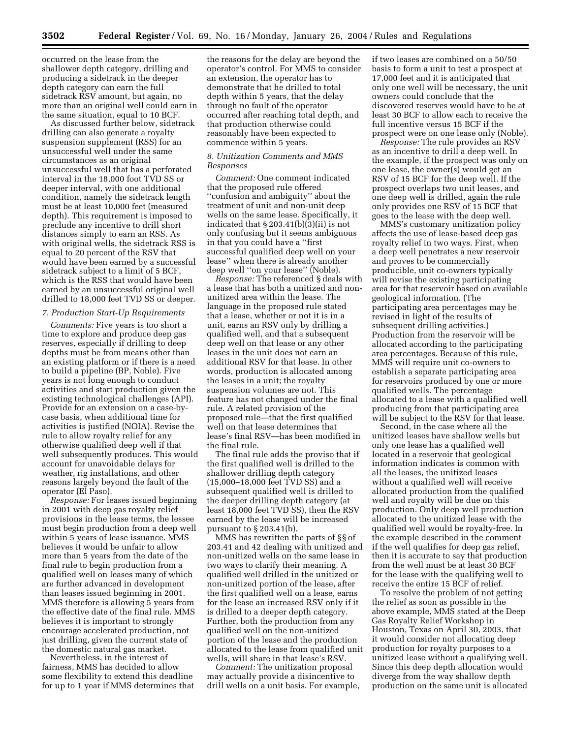occurred on the lease from the shallower depth category, drilling and producing a sidetrack in the deeper depth category can earn the full sidetrack RSV amount, but again, no more than an original well could earn in the same situation, equal to 10 BCF.

As discussed further below, sidetrack drilling can also generate a royalty suspension supplement (RSS) for an unsuccessful well under the same circumstances as an original unsuccessful well that has a perforated interval in the 18,000 foot TVD SS or deeper interval, with one additional condition, namely the sidetrack length must be at least 10,000 feet (measured depth). This requirement is imposed to preclude any incentive to drill short distances simply to earn an RSS. As with original wells, the sidetrack RSS is equal to 20 percent of the RSV that would have been earned by a successful sidetrack subject to a limit of 5 BCF, which is the RSS that would have been earned by an unsuccessful original well drilled to 18,000 feet TVD SS or deeper.

### *7. Production Start-Up Requirements*

*Comments:* Five years is too short a time to explore and produce deep gas reserves, especially if drilling to deep depths must be from means other than an existing platform or if there is a need to build a pipeline (BP, Noble). Five years is not long enough to conduct activities and start production given the existing technological challenges (API). Provide for an extension on a case-bycase basis, when additional time for activities is justified (NOIA). Revise the rule to allow royalty relief for any otherwise qualified deep well if that well subsequently produces. This would account for unavoidable delays for weather, rig installations, and other reasons largely beyond the fault of the operator (El Paso).

*Response:* For leases issued beginning in 2001 with deep gas royalty relief provisions in the lease terms, the lessee must begin production from a deep well within 5 years of lease issuance. MMS believes it would be unfair to allow more than 5 years from the date of the final rule to begin production from a qualified well on leases many of which are further advanced in development than leases issued beginning in 2001. MMS therefore is allowing 5 years from the effective date of the final rule. MMS believes it is important to strongly encourage accelerated production, not just drilling, given the current state of the domestic natural gas market.

Nevertheless, in the interest of fairness, MMS has decided to allow some flexibility to extend this deadline for up to 1 year if MMS determines that

the reasons for the delay are beyond the operator's control. For MMS to consider an extension, the operator has to demonstrate that he drilled to total depth within 5 years, that the delay through no fault of the operator occurred after reaching total depth, and that production otherwise could reasonably have been expected to commence within 5 years.

#### *8. Unitization Comments and MMS Responses*

*Comment:* One comment indicated that the proposed rule offered ''confusion and ambiguity'' about the treatment of unit and non-unit deep wells on the same lease. Specifically, it indicated that  $\S 203.41(b)(3)(ii)$  is not only confusing but it seems ambiguous in that you could have a ''first successful qualified deep well on your lease'' when there is already another deep well ''on your lease'' (Noble).

*Response:* The referenced § deals with a lease that has both a unitized and nonunitized area within the lease. The language in the proposed rule stated that a lease, whether or not it is in a unit, earns an RSV only by drilling a qualified well, and that a subsequent deep well on that lease or any other leases in the unit does not earn an additional RSV for that lease. In other words, production is allocated among the leases in a unit; the royalty suspension volumes are not. This feature has not changed under the final rule. A related provision of the proposed rule—that the first qualified well on that lease determines that lease's final RSV—has been modified in the final rule.

The final rule adds the proviso that if the first qualified well is drilled to the shallower drilling depth category (15,000–18,000 feet TVD SS) and a subsequent qualified well is drilled to the deeper drilling depth category (at least 18,000 feet TVD SS), then the RSV earned by the lease will be increased pursuant to § 203.41(b).

MMS has rewritten the parts of §§ of 203.41 and 42 dealing with unitized and non-unitized wells on the same lease in two ways to clarify their meaning. A qualified well drilled in the unitized or non-unitized portion of the lease, after the first qualified well on a lease, earns for the lease an increased RSV only if it is drilled to a deeper depth category. Further, both the production from any qualified well on the non-unitized portion of the lease and the production allocated to the lease from qualified unit wells, will share in that lease's RSV.

*Comment:* The unitization proposal may actually provide a disincentive to drill wells on a unit basis. For example, if two leases are combined on a 50/50 basis to form a unit to test a prospect at 17,000 feet and it is anticipated that only one well will be necessary, the unit owners could conclude that the discovered reserves would have to be at least 30 BCF to allow each to receive the full incentive versus 15 BCF if the prospect were on one lease only (Noble).

*Response:* The rule provides an RSV as an incentive to drill a deep well. In the example, if the prospect was only on one lease, the owner(s) would get an RSV of 15 BCF for the deep well. If the prospect overlaps two unit leases, and one deep well is drilled, again the rule only provides one RSV of 15 BCF that goes to the lease with the deep well.

MMS's customary unitization policy affects the use of lease-based deep gas royalty relief in two ways. First, when a deep well penetrates a new reservoir and proves to be commercially producible, unit co-owners typically will revise the existing participating area for that reservoir based on available geological information. (The participating area percentages may be revised in light of the results of subsequent drilling activities.) Production from the reservoir will be allocated according to the participating area percentages. Because of this rule, MMS will require unit co-owners to establish a separate participating area for reservoirs produced by one or more qualified wells. The percentage allocated to a lease with a qualified well producing from that participating area will be subject to the RSV for that lease.

Second, in the case where all the unitized leases have shallow wells but only one lease has a qualified well located in a reservoir that geological information indicates is common with all the leases, the unitized leases without a qualified well will receive allocated production from the qualified well and royalty will be due on this production. Only deep well production allocated to the unitized lease with the qualified well would be royalty-free. In the example described in the comment if the well qualifies for deep gas relief, then it is accurate to say that production from the well must be at least 30 BCF for the lease with the qualifying well to receive the entire 15 BCF of relief.

To resolve the problem of not getting the relief as soon as possible in the above example, MMS stated at the Deep Gas Royalty Relief Workshop in Houston, Texas on April 30, 2003, that it would consider not allocating deep production for royalty purposes to a unitized lease without a qualifying well. Since this deep depth allocation would diverge from the way shallow depth production on the same unit is allocated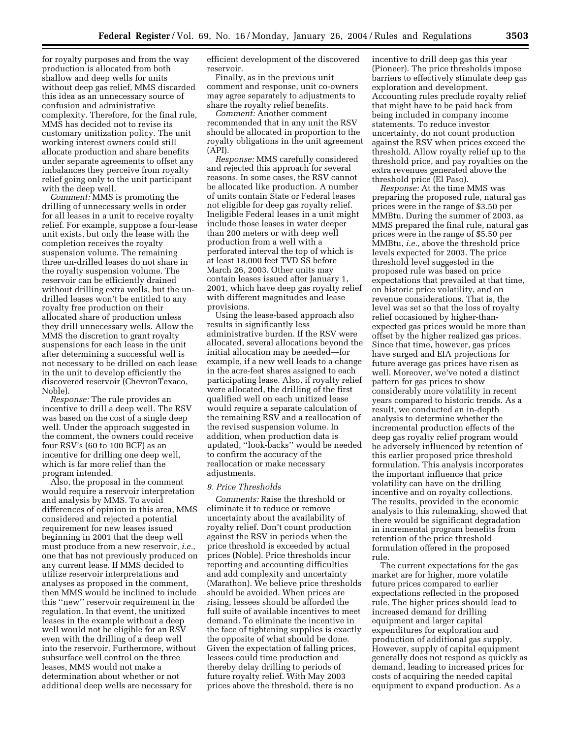for royalty purposes and from the way production is allocated from both shallow and deep wells for units without deep gas relief, MMS discarded this idea as an unnecessary source of confusion and administrative complexity. Therefore, for the final rule, MMS has decided not to revise its customary unitization policy. The unit working interest owners could still allocate production and share benefits under separate agreements to offset any imbalances they perceive from royalty relief going only to the unit participant with the deep well.

*Comment:* MMS is promoting the drilling of unnecessary wells in order for all leases in a unit to receive royalty relief. For example, suppose a four-lease unit exists, but only the lease with the completion receives the royalty suspension volume. The remaining three un-drilled leases do not share in the royalty suspension volume. The reservoir can be efficiently drained without drilling extra wells, but the undrilled leases won't be entitled to any royalty free production on their allocated share of production unless they drill unnecessary wells. Allow the MMS the discretion to grant royalty suspensions for each lease in the unit after determining a successful well is not necessary to be drilled on each lease in the unit to develop efficiently the discovered reservoir (ChevronTexaco, Noble).

*Response:* The rule provides an incentive to drill a deep well. The RSV was based on the cost of a single deep well. Under the approach suggested in the comment, the owners could receive four RSV's (60 to 100 BCF) as an incentive for drilling one deep well, which is far more relief than the program intended.

Also, the proposal in the comment would require a reservoir interpretation and analysis by MMS. To avoid differences of opinion in this area, MMS considered and rejected a potential requirement for new leases issued beginning in 2001 that the deep well must produce from a new reservoir, *i.e.*, one that has not previously produced on any current lease. If MMS decided to utilize reservoir interpretations and analyses as proposed in the comment, then MMS would be inclined to include this ''new'' reservoir requirement in the regulation. In that event, the unitized leases in the example without a deep well would not be eligible for an RSV even with the drilling of a deep well into the reservoir. Furthermore, without subsurface well control on the three leases, MMS would not make a determination about whether or not additional deep wells are necessary for

efficient development of the discovered reservoir.

Finally, as in the previous unit comment and response, unit co-owners may agree separately to adjustments to share the royalty relief benefits.

*Comment:* Another comment recommended that in any unit the RSV should be allocated in proportion to the royalty obligations in the unit agreement (API).

*Response:* MMS carefully considered and rejected this approach for several reasons. In some cases, the RSV cannot be allocated like production. A number of units contain State or Federal leases not eligible for deep gas royalty relief. Ineligible Federal leases in a unit might include those leases in water deeper than 200 meters or with deep well production from a well with a perforated interval the top of which is at least 18,000 feet TVD SS before March 26, 2003. Other units may contain leases issued after January 1, 2001, which have deep gas royalty relief with different magnitudes and lease provisions.

Using the lease-based approach also results in significantly less administrative burden. If the RSV were allocated, several allocations beyond the initial allocation may be needed—for example, if a new well leads to a change in the acre-feet shares assigned to each participating lease. Also, if royalty relief were allocated, the drilling of the first qualified well on each unitized lease would require a separate calculation of the remaining RSV and a reallocation of the revised suspension volume. In addition, when production data is updated, ''look-backs'' would be needed to confirm the accuracy of the reallocation or make necessary adjustments.

### *9. Price Thresholds*

*Comments:* Raise the threshold or eliminate it to reduce or remove uncertainty about the availability of royalty relief. Don't count production against the RSV in periods when the price threshold is exceeded by actual prices (Noble). Price thresholds incur reporting and accounting difficulties and add complexity and uncertainty (Marathon). We believe price thresholds should be avoided. When prices are rising, lessees should be afforded the full suite of available incentives to meet demand. To eliminate the incentive in the face of tightening supplies is exactly the opposite of what should be done. Given the expectation of falling prices, lessees could time production and thereby delay drilling to periods of future royalty relief. With May 2003 prices above the threshold, there is no

incentive to drill deep gas this year (Pioneer). The price thresholds impose barriers to effectively stimulate deep gas exploration and development. Accounting rules preclude royalty relief that might have to be paid back from being included in company income statements. To reduce investor uncertainty, do not count production against the RSV when prices exceed the threshold. Allow royalty relief up to the threshold price, and pay royalties on the extra revenues generated above the threshold price (El Paso).

*Response:* At the time MMS was preparing the proposed rule, natural gas prices were in the range of \$3.50 per MMBtu. During the summer of 2003, as MMS prepared the final rule, natural gas prices were in the range of \$5.50 per MMBtu, *i.e.*, above the threshold price levels expected for 2003. The price threshold level suggested in the proposed rule was based on price expectations that prevailed at that time, on historic price volatility, and on revenue considerations. That is, the level was set so that the loss of royalty relief occasioned by higher-thanexpected gas prices would be more than offset by the higher realized gas prices. Since that time, however, gas prices have surged and EIA projections for future average gas prices have risen as well. Moreover, we've noted a distinct pattern for gas prices to show considerably more volatility in recent years compared to historic trends. As a result, we conducted an in-depth analysis to determine whether the incremental production effects of the deep gas royalty relief program would be adversely influenced by retention of this earlier proposed price threshold formulation. This analysis incorporates the important influence that price volatility can have on the drilling incentive and on royalty collections. The results, provided in the economic analysis to this rulemaking, showed that there would be significant degradation in incremental program benefits from retention of the price threshold formulation offered in the proposed rule.

The current expectations for the gas market are for higher, more volatile future prices compared to earlier expectations reflected in the proposed rule. The higher prices should lead to increased demand for drilling equipment and larger capital expenditures for exploration and production of additional gas supply. However, supply of capital equipment generally does not respond as quickly as demand, leading to increased prices for costs of acquiring the needed capital equipment to expand production. As a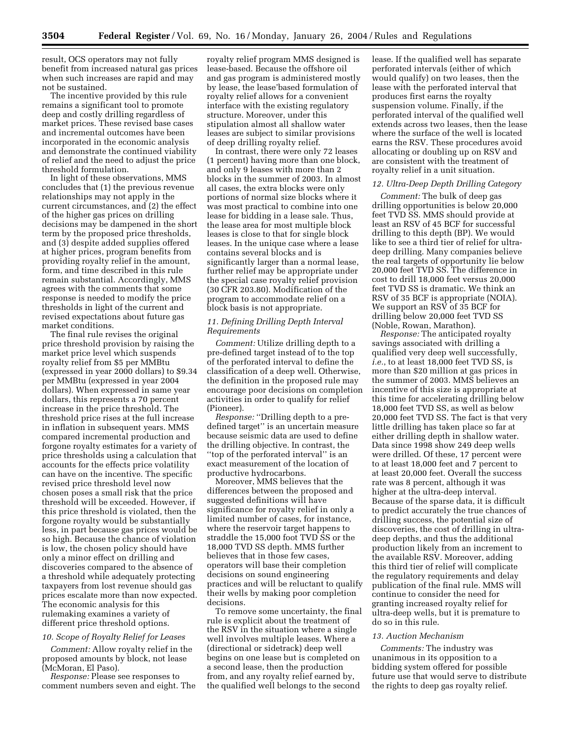result, OCS operators may not fully benefit from increased natural gas prices when such increases are rapid and may not be sustained.

The incentive provided by this rule remains a significant tool to promote deep and costly drilling regardless of market prices. These revised base cases and incremental outcomes have been incorporated in the economic analysis and demonstrate the continued viability of relief and the need to adjust the price threshold formulation.

In light of these observations, MMS concludes that (1) the previous revenue relationships may not apply in the current circumstances, and (2) the effect of the higher gas prices on drilling decisions may be dampened in the short term by the proposed price thresholds, and (3) despite added supplies offered at higher prices, program benefits from providing royalty relief in the amount, form, and time described in this rule remain substantial. Accordingly, MMS agrees with the comments that some response is needed to modify the price thresholds in light of the current and revised expectations about future gas market conditions.

The final rule revises the original price threshold provision by raising the market price level which suspends royalty relief from \$5 per MMBtu (expressed in year 2000 dollars) to \$9.34 per MMBtu (expressed in year 2004 dollars). When expressed in same year dollars, this represents a 70 percent increase in the price threshold. The threshold price rises at the full increase in inflation in subsequent years. MMS compared incremental production and forgone royalty estimates for a variety of price thresholds using a calculation that accounts for the effects price volatility can have on the incentive. The specific revised price threshold level now chosen poses a small risk that the price threshold will be exceeded. However, if this price threshold is violated, then the forgone royalty would be substantially less, in part because gas prices would be so high. Because the chance of violation is low, the chosen policy should have only a minor effect on drilling and discoveries compared to the absence of a threshold while adequately protecting taxpayers from lost revenue should gas prices escalate more than now expected. The economic analysis for this rulemaking examines a variety of different price threshold options.

# *10. Scope of Royalty Relief for Leases*

*Comment:* Allow royalty relief in the proposed amounts by block, not lease (McMoran, El Paso).

*Response:* Please see responses to comment numbers seven and eight. The royalty relief program MMS designed is lease-based. Because the offshore oil and gas program is administered mostly by lease, the lease'based formulation of royalty relief allows for a convenient interface with the existing regulatory structure. Moreover, under this stipulation almost all shallow water leases are subject to similar provisions of deep drilling royalty relief.

In contrast, there were only 72 leases (1 percent) having more than one block, and only 9 leases with more than 2 blocks in the summer of 2003. In almost all cases, the extra blocks were only portions of normal size blocks where it was most practical to combine into one lease for bidding in a lease sale. Thus, the lease area for most multiple block leases is close to that for single block leases. In the unique case where a lease contains several blocks and is significantly larger than a normal lease, further relief may be appropriate under the special case royalty relief provision (30 CFR 203.80). Modification of the program to accommodate relief on a block basis is not appropriate.

## *11. Defining Drilling Depth Interval Requirements*

*Comment:* Utilize drilling depth to a pre-defined target instead of to the top of the perforated interval to define the classification of a deep well. Otherwise, the definition in the proposed rule may encourage poor decisions on completion activities in order to qualify for relief (Pioneer).

*Response:* ''Drilling depth to a predefined target'' is an uncertain measure because seismic data are used to define the drilling objective. In contrast, the ''top of the perforated interval'' is an exact measurement of the location of productive hydrocarbons.

Moreover, MMS believes that the differences between the proposed and suggested definitions will have significance for royalty relief in only a limited number of cases, for instance, where the reservoir target happens to straddle the 15,000 foot TVD SS or the 18,000 TVD SS depth. MMS further believes that in those few cases, operators will base their completion decisions on sound engineering practices and will be reluctant to qualify their wells by making poor completion decisions.

To remove some uncertainty, the final rule is explicit about the treatment of the RSV in the situation where a single well involves multiple leases. Where a (directional or sidetrack) deep well begins on one lease but is completed on a second lease, then the production from, and any royalty relief earned by, the qualified well belongs to the second

lease. If the qualified well has separate perforated intervals (either of which would qualify) on two leases, then the lease with the perforated interval that produces first earns the royalty suspension volume. Finally, if the perforated interval of the qualified well extends across two leases, then the lease where the surface of the well is located earns the RSV. These procedures avoid allocating or doubling up on RSV and are consistent with the treatment of royalty relief in a unit situation.

### *12. Ultra-Deep Depth Drilling Category*

*Comment:* The bulk of deep gas drilling opportunities is below 20,000 feet TVD SS. MMS should provide at least an RSV of 45 BCF for successful drilling to this depth (BP). We would like to see a third tier of relief for ultradeep drilling. Many companies believe the real targets of opportunity lie below 20,000 feet TVD SS. The difference in cost to drill 18,000 feet versus 20,000 feet TVD SS is dramatic. We think an RSV of 35 BCF is appropriate (NOIA). We support an RSV of 35 BCF for drilling below 20,000 feet TVD SS (Noble, Rowan, Marathon).

*Response:* The anticipated royalty savings associated with drilling a qualified very deep well successfully, *i.e.*, to at least 18,000 feet TVD SS, is more than \$20 million at gas prices in the summer of 2003. MMS believes an incentive of this size is appropriate at this time for accelerating drilling below 18,000 feet TVD SS, as well as below 20,000 feet TVD SS. The fact is that very little drilling has taken place so far at either drilling depth in shallow water. Data since 1998 show 249 deep wells were drilled. Of these, 17 percent were to at least 18,000 feet and 7 percent to at least 20,000 feet. Overall the success rate was 8 percent, although it was higher at the ultra-deep interval. Because of the sparse data, it is difficult to predict accurately the true chances of drilling success, the potential size of discoveries, the cost of drilling in ultradeep depths, and thus the additional production likely from an increment to the available RSV. Moreover, adding this third tier of relief will complicate the regulatory requirements and delay publication of the final rule. MMS will continue to consider the need for granting increased royalty relief for ultra-deep wells, but it is premature to do so in this rule.

#### *13. Auction Mechanism*

*Comments:* The industry was unanimous in its opposition to a bidding system offered for possible future use that would serve to distribute the rights to deep gas royalty relief.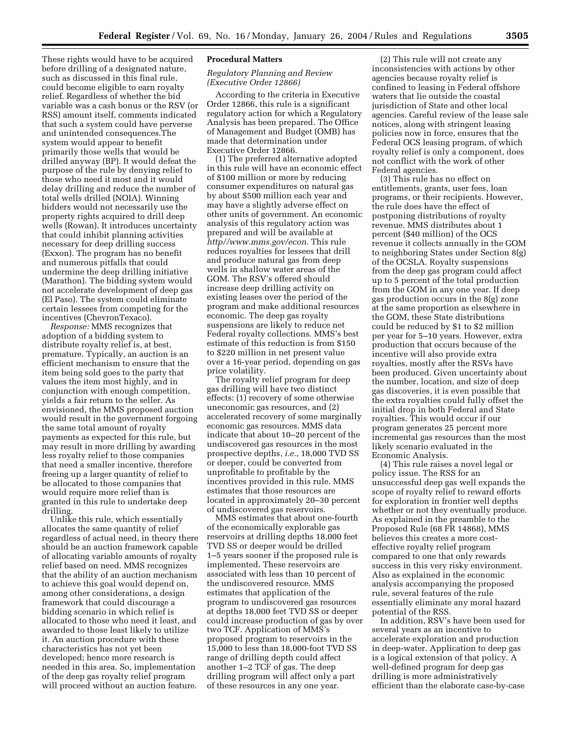These rights would have to be acquired before drilling of a designated nature, such as discussed in this final rule, could become eligible to earn royalty relief. Regardless of whether the bid variable was a cash bonus or the RSV (or RSS) amount itself, comments indicated that such a system could have perverse and unintended consequences.The system would appear to benefit primarily those wells that would be drilled anyway (BP). It would defeat the purpose of the rule by denying relief to those who need it most and it would delay drilling and reduce the number of total wells drilled (NOIA). Winning bidders would not necessarily use the property rights acquired to drill deep wells (Rowan). It introduces uncertainty that could inhibit planning activities necessary for deep drilling success (Exxon). The program has no benefit and numerous pitfalls that could undermine the deep drilling initiative (Marathon). The bidding system would not accelerate development of deep gas (El Paso). The system could eliminate certain lessees from competing for the incentives (ChevronTexaco).

*Response:* MMS recognizes that adoption of a bidding system to distribute royalty relief is, at best, premature. Typically, an auction is an efficient mechanism to ensure that the item being sold goes to the party that values the item most highly, and in conjunction with enough competition, yields a fair return to the seller. As envisioned, the MMS proposed auction would result in the government forgoing the same total amount of royalty payments as expected for this rule, but may result in more drilling by awarding less royalty relief to those companies that need a smaller incentive, therefore freeing up a larger quantity of relief to be allocated to those companies that would require more relief than is granted in this rule to undertake deep drilling.

Unlike this rule, which essentially allocates the same quantity of relief regardless of actual need, in theory there should be an auction framework capable of allocating variable amounts of royalty relief based on need. MMS recognizes that the ability of an auction mechanism to achieve this goal would depend on, among other considerations, a design framework that could discourage a bidding scenario in which relief is allocated to those who need it least, and awarded to those least likely to utilize it. An auction procedure with these characteristics has not yet been developed; hence more research is needed in this area. So, implementation of the deep gas royalty relief program will proceed without an auction feature.

#### **Procedural Matters**

### *Regulatory Planning and Review (Executive Order 12866)*

According to the criteria in Executive Order 12866, this rule is a significant regulatory action for which a Regulatory Analysis has been prepared. The Office of Management and Budget (OMB) has made that determination under Executive Order 12866.

(1) The preferred alternative adopted in this rule will have an economic effect of \$100 million or more by reducing consumer expenditures on natural gas by about \$500 million each year and may have a slightly adverse effect on other units of government. An economic analysis of this regulatory action was prepared and will be available at *http//www.mms.gov/econ*. This rule reduces royalties for lessees that drill and produce natural gas from deep wells in shallow water areas of the GOM. The RSV's offered should increase deep drilling activity on existing leases over the period of the program and make additional resources economic. The deep gas royalty suspensions are likely to reduce net Federal royalty collections. MMS's best estimate of this reduction is from \$150 to \$220 million in net present value over a 16-year period, depending on gas price volatility.

The royalty relief program for deep gas drilling will have two distinct effects: (1) recovery of some otherwise uneconomic gas resources, and (2) accelerated recovery of some marginally economic gas resources. MMS data indicate that about 10–20 percent of the undiscovered gas resources in the most prospective depths, *i.e.*, 18,000 TVD SS or deeper, could be converted from unprofitable to profitable by the incentives provided in this rule. MMS estimates that those resources are located in approximately 20–30 percent of undiscovered gas reservoirs.

MMS estimates that about one-fourth of the economically explorable gas reservoirs at drilling depths 18,000 feet TVD SS or deeper would be drilled 1–5 years sooner if the proposed rule is implemented. These reservoirs are associated with less than 10 percent of the undiscovered resource. MMS estimates that application of the program to undiscovered gas resources at depths 18,000 feet TVD SS or deeper could increase production of gas by over two TCF. Application of MMS's proposed program to reservoirs in the 15,000 to less than 18,000-foot TVD SS range of drilling depth could affect another 1–2 TCF of gas. The deep drilling program will affect only a part of these resources in any one year.

(2) This rule will not create any inconsistencies with actions by other agencies because royalty relief is confined to leasing in Federal offshore waters that lie outside the coastal jurisdiction of State and other local agencies. Careful review of the lease sale notices, along with stringent leasing policies now in force, ensures that the Federal OCS leasing program, of which royalty relief is only a component, does not conflict with the work of other Federal agencies.

(3) This rule has no effect on entitlements, grants, user fees, loan programs, or their recipients. However, the rule does have the effect of postponing distributions of royalty revenue. MMS distributes about 1 percent (\$40 million) of the OCS revenue it collects annually in the GOM to neighboring States under Section 8(g) of the OCSLA. Royalty suspensions from the deep gas program could affect up to 5 percent of the total production from the GOM in any one year. If deep gas production occurs in the 8(g) zone at the same proportion as elsewhere in the GOM, these State distributions could be reduced by \$1 to \$2 million per year for 5–10 years. However, extra production that occurs because of the incentive will also provide extra royalties, mostly after the RSVs have been produced. Given uncertainty about the number, location, and size of deep gas discoveries, it is even possible that the extra royalties could fully offset the initial drop in both Federal and State royalties. This would occur if our program generates 25 percent more incremental gas resources than the most likely scenario evaluated in the Economic Analysis.

(4) This rule raises a novel legal or policy issue. The RSS for an unsuccessful deep gas well expands the scope of royalty relief to reward efforts for exploration in frontier well depths whether or not they eventually produce. As explained in the preamble to the Proposed Rule (68 FR 14868), MMS believes this creates a more costeffective royalty relief program compared to one that only rewards success in this very risky environment. Also as explained in the economic analysis accompanying the proposed rule, several features of the rule essentially eliminate any moral hazard potential of the RSS.

In addition, RSV's have been used for several years as an incentive to accelerate exploration and production in deep-water. Application to deep gas is a logical extension of that policy. A well-defined program for deep gas drilling is more administratively efficient than the elaborate case-by-case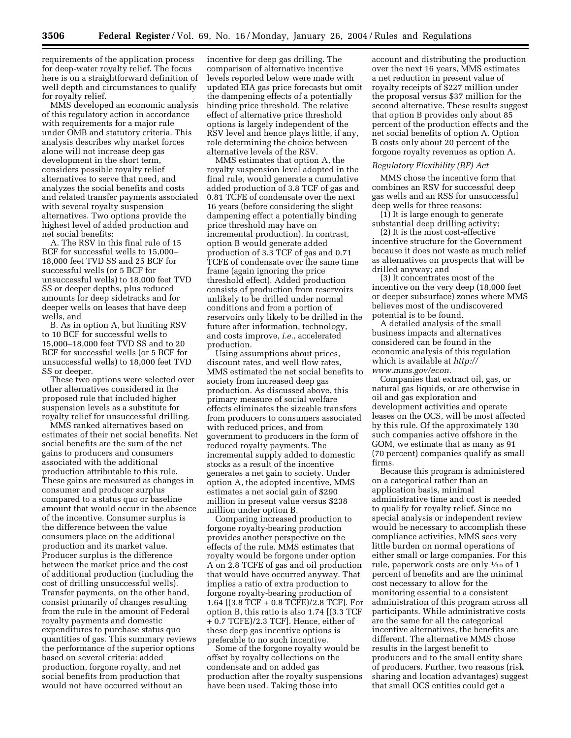requirements of the application process for deep-water royalty relief. The focus here is on a straightforward definition of well depth and circumstances to qualify for royalty relief.

MMS developed an economic analysis of this regulatory action in accordance with requirements for a major rule under OMB and statutory criteria. This analysis describes why market forces alone will not increase deep gas development in the short term, considers possible royalty relief alternatives to serve that need, and analyzes the social benefits and costs and related transfer payments associated with several royalty suspension alternatives. Two options provide the highest level of added production and net social benefits:

A. The RSV in this final rule of 15 BCF for successful wells to 15,000– 18,000 feet TVD SS and 25 BCF for successful wells (or 5 BCF for unsuccessful wells) to 18,000 feet TVD SS or deeper depths, plus reduced amounts for deep sidetracks and for deeper wells on leases that have deep wells, and

B. As in option A, but limiting RSV to 10 BCF for successful wells to 15,000–18,000 feet TVD SS and to 20 BCF for successful wells (or 5 BCF for unsuccessful wells) to 18,000 feet TVD SS or deeper.

These two options were selected over other alternatives considered in the proposed rule that included higher suspension levels as a substitute for royalty relief for unsuccessful drilling.

MMS ranked alternatives based on estimates of their net social benefits. Net social benefits are the sum of the net gains to producers and consumers associated with the additional production attributable to this rule. These gains are measured as changes in consumer and producer surplus compared to a status quo or baseline amount that would occur in the absence of the incentive. Consumer surplus is the difference between the value consumers place on the additional production and its market value. Producer surplus is the difference between the market price and the cost of additional production (including the cost of drilling unsuccessful wells). Transfer payments, on the other hand, consist primarily of changes resulting from the rule in the amount of Federal royalty payments and domestic expenditures to purchase status quo quantities of gas. This summary reviews the performance of the superior options based on several criteria: added production, forgone royalty, and net social benefits from production that would not have occurred without an

incentive for deep gas drilling. The comparison of alternative incentive levels reported below were made with updated EIA gas price forecasts but omit the dampening effects of a potentially binding price threshold. The relative effect of alternative price threshold options is largely independent of the RSV level and hence plays little, if any, role determining the choice between alternative levels of the RSV.

MMS estimates that option A, the royalty suspension level adopted in the final rule, would generate a cumulative added production of 3.8 TCF of gas and 0.81 TCFE of condensate over the next 16 years (before considering the slight dampening effect a potentially binding price threshold may have on incremental production). In contrast, option B would generate added production of 3.3 TCF of gas and 0.71 TCFE of condensate over the same time frame (again ignoring the price threshold effect). Added production consists of production from reservoirs unlikely to be drilled under normal conditions and from a portion of reservoirs only likely to be drilled in the future after information, technology, and costs improve, *i.e.*, accelerated production.

Using assumptions about prices, discount rates, and well flow rates, MMS estimated the net social benefits to society from increased deep gas production. As discussed above, this primary measure of social welfare effects eliminates the sizeable transfers from producers to consumers associated with reduced prices, and from government to producers in the form of reduced royalty payments. The incremental supply added to domestic stocks as a result of the incentive generates a net gain to society. Under option A, the adopted incentive, MMS estimates a net social gain of \$290 million in present value versus \$238 million under option B.

Comparing increased production to forgone royalty-bearing production provides another perspective on the effects of the rule. MMS estimates that royalty would be forgone under option A on 2.8 TCFE of gas and oil production that would have occurred anyway. That implies a ratio of extra production to forgone royalty-bearing production of 1.64 [(3.8 TCF + 0.8 TCFE)/2.8 TCF]. For option B, this ratio is also 1.74 [(3.3 TCF + 0.7 TCFE)/2.3 TCF]. Hence, either of these deep gas incentive options is preferable to no such incentive.

Some of the forgone royalty would be offset by royalty collections on the condensate and on added gas production after the royalty suspensions have been used. Taking those into

account and distributing the production over the next 16 years, MMS estimates a net reduction in present value of royalty receipts of \$227 million under the proposal versus \$37 million for the second alternative. These results suggest that option B provides only about 85 percent of the production effects and the net social benefits of option A. Option B costs only about 20 percent of the forgone royalty revenues as option A.

#### *Regulatory Flexibility (RF) Act*

MMS chose the incentive form that combines an RSV for successful deep gas wells and an RSS for unsuccessful deep wells for three reasons:

(1) It is large enough to generate substantial deep drilling activity;

(2) It is the most cost-effective incentive structure for the Government because it does not waste as much relief as alternatives on prospects that will be drilled anyway; and

(3) It concentrates most of the incentive on the very deep (18,000 feet or deeper subsurface) zones where MMS believes most of the undiscovered potential is to be found.

A detailed analysis of the small business impacts and alternatives considered can be found in the economic analysis of this regulation which is available at *http:// www.mms.gov/econ.*

Companies that extract oil, gas, or natural gas liquids, or are otherwise in oil and gas exploration and development activities and operate leases on the OCS, will be most affected by this rule. Of the approximately 130 such companies active offshore in the GOM, we estimate that as many as 91 (70 percent) companies qualify as small firms.

Because this program is administered on a categorical rather than an application basis, minimal administrative time and cost is needed to qualify for royalty relief. Since no special analysis or independent review would be necessary to accomplish these compliance activities, MMS sees very little burden on normal operations of either small or large companies. For this rule, paperwork costs are only 1⁄10 of 1 percent of benefits and are the minimal cost necessary to allow for the monitoring essential to a consistent administration of this program across all participants. While administrative costs are the same for all the categorical incentive alternatives, the benefits are different. The alternative MMS chose results in the largest benefit to producers and to the small entity share of producers. Further, two reasons (risk sharing and location advantages) suggest that small OCS entities could get a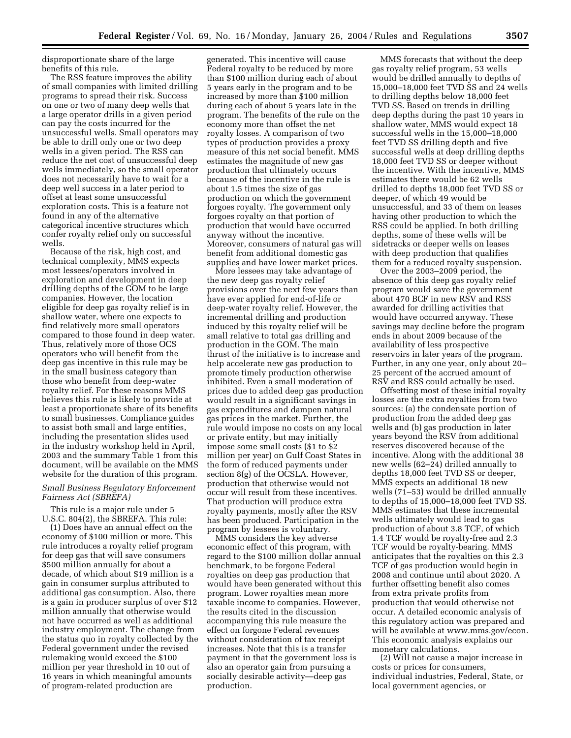disproportionate share of the large benefits of this rule.

The RSS feature improves the ability of small companies with limited drilling programs to spread their risk. Success on one or two of many deep wells that a large operator drills in a given period can pay the costs incurred for the unsuccessful wells. Small operators may be able to drill only one or two deep wells in a given period. The RSS can reduce the net cost of unsuccessful deep wells immediately, so the small operator does not necessarily have to wait for a deep well success in a later period to offset at least some unsuccessful exploration costs. This is a feature not found in any of the alternative categorical incentive structures which confer royalty relief only on successful wells.

Because of the risk, high cost, and technical complexity, MMS expects most lessees/operators involved in exploration and development in deep drilling depths of the GOM to be large companies. However, the location eligible for deep gas royalty relief is in shallow water, where one expects to find relatively more small operators compared to those found in deep water. Thus, relatively more of those OCS operators who will benefit from the deep gas incentive in this rule may be in the small business category than those who benefit from deep-water royalty relief. For these reasons MMS believes this rule is likely to provide at least a proportionate share of its benefits to small businesses. Compliance guides to assist both small and large entities, including the presentation slides used in the industry workshop held in April, 2003 and the summary Table 1 from this document, will be available on the MMS website for the duration of this program.

### *Small Business Regulatory Enforcement Fairness Act (SBREFA)*

This rule is a major rule under 5 U.S.C. 804(2), the SBREFA. This rule:

(1) Does have an annual effect on the economy of \$100 million or more. This rule introduces a royalty relief program for deep gas that will save consumers \$500 million annually for about a decade, of which about \$19 million is a gain in consumer surplus attributed to additional gas consumption. Also, there is a gain in producer surplus of over \$12 million annually that otherwise would not have occurred as well as additional industry employment. The change from the status quo in royalty collected by the Federal government under the revised rulemaking would exceed the \$100 million per year threshold in 10 out of 16 years in which meaningful amounts of program-related production are

generated. This incentive will cause Federal royalty to be reduced by more than \$100 million during each of about 5 years early in the program and to be increased by more than \$100 million during each of about 5 years late in the program. The benefits of the rule on the economy more than offset the net royalty losses. A comparison of two types of production provides a proxy measure of this net social benefit. MMS estimates the magnitude of new gas production that ultimately occurs because of the incentive in the rule is about 1.5 times the size of gas production on which the government forgoes royalty. The government only forgoes royalty on that portion of production that would have occurred anyway without the incentive. Moreover, consumers of natural gas will benefit from additional domestic gas supplies and have lower market prices.

More lessees may take advantage of the new deep gas royalty relief provisions over the next few years than have ever applied for end-of-life or deep-water royalty relief. However, the incremental drilling and production induced by this royalty relief will be small relative to total gas drilling and production in the GOM. The main thrust of the initiative is to increase and help accelerate new gas production to promote timely production otherwise inhibited. Even a small moderation of prices due to added deep gas production would result in a significant savings in gas expenditures and dampen natural gas prices in the market. Further, the rule would impose no costs on any local or private entity, but may initially impose some small costs (\$1 to \$2 million per year) on Gulf Coast States in the form of reduced payments under section 8(g) of the OCSLA. However, production that otherwise would not occur will result from these incentives. That production will produce extra royalty payments, mostly after the RSV has been produced. Participation in the program by lessees is voluntary.

MMS considers the key adverse economic effect of this program, with regard to the \$100 million dollar annual benchmark, to be forgone Federal royalties on deep gas production that would have been generated without this program. Lower royalties mean more taxable income to companies. However, the results cited in the discussion accompanying this rule measure the effect on forgone Federal revenues without consideration of tax receipt increases. Note that this is a transfer payment in that the government loss is also an operator gain from pursuing a socially desirable activity—deep gas production.

MMS forecasts that without the deep gas royalty relief program, 53 wells would be drilled annually to depths of 15,000–18,000 feet TVD SS and 24 wells to drilling depths below 18,000 feet TVD SS. Based on trends in drilling deep depths during the past 10 years in shallow water, MMS would expect 18 successful wells in the 15,000–18,000 feet TVD SS drilling depth and five successful wells at deep drilling depths 18,000 feet TVD SS or deeper without the incentive. With the incentive, MMS estimates there would be 62 wells drilled to depths 18,000 feet TVD SS or deeper, of which 49 would be unsuccessful, and 33 of them on leases having other production to which the RSS could be applied. In both drilling depths, some of these wells will be sidetracks or deeper wells on leases with deep production that qualifies them for a reduced royalty suspension.

Over the 2003–2009 period, the absence of this deep gas royalty relief program would save the government about 470 BCF in new RSV and RSS awarded for drilling activities that would have occurred anyway. These savings may decline before the program ends in about 2009 because of the availability of less prospective reservoirs in later years of the program. Further, in any one year, only about 20– 25 percent of the accrued amount of RSV and RSS could actually be used.

Offsetting most of these initial royalty losses are the extra royalties from two sources: (a) the condensate portion of production from the added deep gas wells and (b) gas production in later years beyond the RSV from additional reserves discovered because of the incentive. Along with the additional 38 new wells (62–24) drilled annually to depths 18,000 feet TVD SS or deeper, MMS expects an additional 18 new wells (71–53) would be drilled annually to depths of 15,000–18,000 feet TVD SS. MMS estimates that these incremental wells ultimately would lead to gas production of about 3.8 TCF, of which 1.4 TCF would be royalty-free and 2.3 TCF would be royalty-bearing. MMS anticipates that the royalties on this 2.3 TCF of gas production would begin in 2008 and continue until about 2020. A further offsetting benefit also comes from extra private profits from production that would otherwise not occur. A detailed economic analysis of this regulatory action was prepared and will be available at www.mms.gov/econ. This economic analysis explains our monetary calculations.

(2) Will not cause a major increase in costs or prices for consumers, individual industries, Federal, State, or local government agencies, or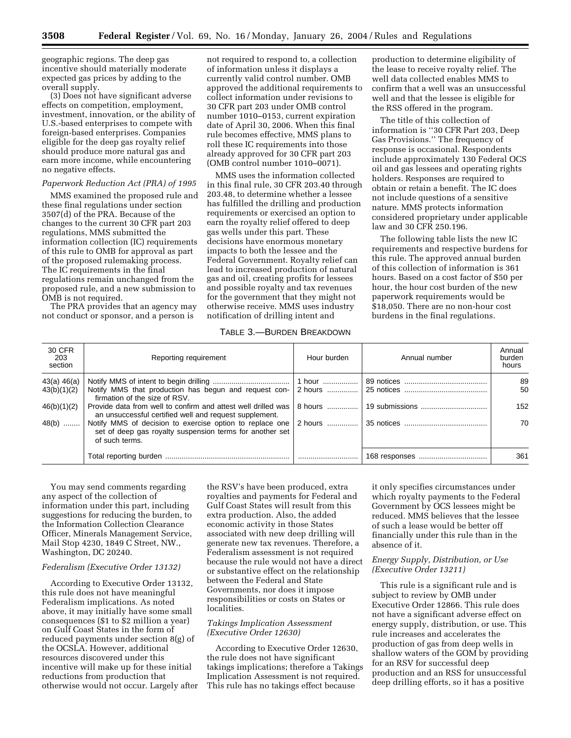geographic regions. The deep gas incentive should materially moderate expected gas prices by adding to the overall supply.

(3) Does not have significant adverse effects on competition, employment, investment, innovation, or the ability of U.S.-based enterprises to compete with foreign-based enterprises. Companies eligible for the deep gas royalty relief should produce more natural gas and earn more income, while encountering no negative effects.

### *Paperwork Reduction Act (PRA) of 1995*

MMS examined the proposed rule and these final regulations under section 3507(d) of the PRA. Because of the changes to the current 30 CFR part 203 regulations, MMS submitted the information collection (IC) requirements of this rule to OMB for approval as part of the proposed rulemaking process. The IC requirements in the final regulations remain unchanged from the proposed rule, and a new submission to OMB is not required.

The PRA provides that an agency may not conduct or sponsor, and a person is

not required to respond to, a collection of information unless it displays a currently valid control number. OMB approved the additional requirements to collect information under revisions to 30 CFR part 203 under OMB control number 1010–0153, current expiration date of April 30, 2006. When this final rule becomes effective, MMS plans to roll these IC requirements into those already approved for 30 CFR part 203 (OMB control number 1010–0071).

MMS uses the information collected in this final rule, 30 CFR 203.40 through 203.48, to determine whether a lessee has fulfilled the drilling and production requirements or exercised an option to earn the royalty relief offered to deep gas wells under this part. These decisions have enormous monetary impacts to both the lessee and the Federal Government. Royalty relief can lead to increased production of natural gas and oil, creating profits for lessees and possible royalty and tax revenues for the government that they might not otherwise receive. MMS uses industry notification of drilling intent and

production to determine eligibility of the lease to receive royalty relief. The well data collected enables MMS to confirm that a well was an unsuccessful well and that the lessee is eligible for the RSS offered in the program.

The title of this collection of information is ''30 CFR Part 203, Deep Gas Provisions.'' The frequency of response is occasional. Respondents include approximately 130 Federal OCS oil and gas lessees and operating rights holders. Responses are required to obtain or retain a benefit. The IC does not include questions of a sensitive nature. MMS protects information considered proprietary under applicable law and 30 CFR 250.196.

The following table lists the new IC requirements and respective burdens for this rule. The approved annual burden of this collection of information is 361 hours. Based on a cost factor of \$50 per hour, the hour cost burden of the new paperwork requirements would be \$18,050. There are no non-hour cost burdens in the final regulations.

### TABLE 3.—BURDEN BREAKDOWN

| 30 CFR<br>203<br>section | Reporting requirement                                                                                                                  | Hour burden | Annual number  | Annual<br>burden<br>hours |
|--------------------------|----------------------------------------------------------------------------------------------------------------------------------------|-------------|----------------|---------------------------|
| 43(a) 46(a)              |                                                                                                                                        | 1 hour      |                | 89                        |
| 43(b)(1)(2)              | Notify MMS that production has begun and request con- 2 hours<br>firmation of the size of RSV.                                         |             |                | 50                        |
| 46(b)(1)(2)              | Provide data from well to confirm and attest well drilled was<br>an unsuccessful certified well and request supplement.                | 8 hours     | 19 submissions | 152                       |
| 48(b)                    | Notify MMS of decision to exercise option to replace one<br>set of deep gas royalty suspension terms for another set<br>of such terms. | 2 hours     |                | 70                        |
|                          |                                                                                                                                        |             |                | 361                       |

You may send comments regarding any aspect of the collection of information under this part, including suggestions for reducing the burden, to the Information Collection Clearance Officer, Minerals Management Service, Mail Stop 4230, 1849 C Street, NW., Washington, DC 20240.

### *Federalism (Executive Order 13132)*

According to Executive Order 13132, this rule does not have meaningful Federalism implications. As noted above, it may initially have some small consequences (\$1 to \$2 million a year) on Gulf Coast States in the form of reduced payments under section 8(g) of the OCSLA. However, additional resources discovered under this incentive will make up for these initial reductions from production that otherwise would not occur. Largely after

the RSV's have been produced, extra royalties and payments for Federal and Gulf Coast States will result from this extra production. Also, the added economic activity in those States associated with new deep drilling will generate new tax revenues. Therefore, a Federalism assessment is not required because the rule would not have a direct or substantive effect on the relationship between the Federal and State Governments, nor does it impose responsibilities or costs on States or localities.

## *Takings Implication Assessment (Executive Order 12630)*

According to Executive Order 12630, the rule does not have significant takings implications; therefore a Takings Implication Assessment is not required. This rule has no takings effect because

it only specifies circumstances under which royalty payments to the Federal Government by OCS lessees might be reduced. MMS believes that the lessee of such a lease would be better off financially under this rule than in the absence of it.

# *Energy Supply, Distribution, or Use (Executive Order 13211)*

This rule is a significant rule and is subject to review by OMB under Executive Order 12866. This rule does not have a significant adverse effect on energy supply, distribution, or use. This rule increases and accelerates the production of gas from deep wells in shallow waters of the GOM by providing for an RSV for successful deep production and an RSS for unsuccessful deep drilling efforts, so it has a positive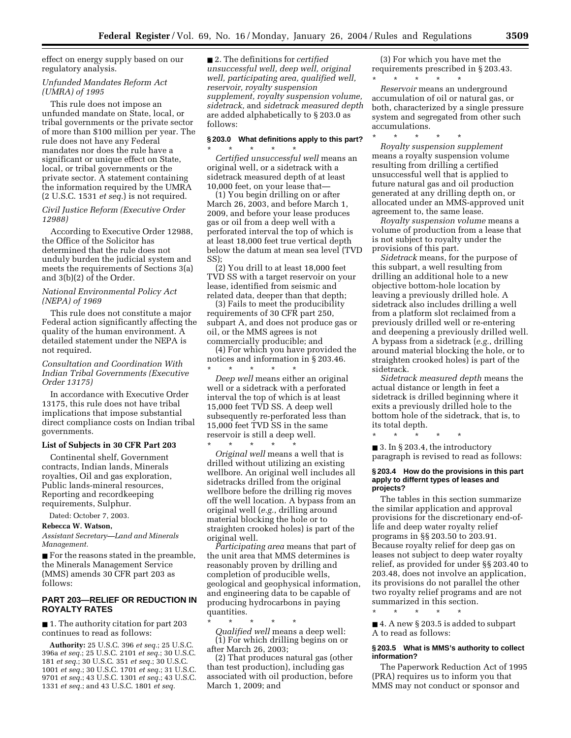effect on energy supply based on our regulatory analysis.

### *Unfunded Mandates Reform Act (UMRA) of 1995*

This rule does not impose an unfunded mandate on State, local, or tribal governments or the private sector of more than \$100 million per year. The rule does not have any Federal mandates nor does the rule have a significant or unique effect on State, local, or tribal governments or the private sector. A statement containing the information required by the UMRA (2 U.S.C. 1531 *et seq.*) is not required.

*Civil Justice Reform (Executive Order 12988)* 

According to Executive Order 12988, the Office of the Solicitor has determined that the rule does not unduly burden the judicial system and meets the requirements of Sections 3(a) and 3(b)(2) of the Order.

## *National Environmental Policy Act (NEPA) of 1969*

This rule does not constitute a major Federal action significantly affecting the quality of the human environment. A detailed statement under the NEPA is not required.

*Consultation and Coordination With Indian Tribal Governments (Executive Order 13175)* 

In accordance with Executive Order 13175, this rule does not have tribal implications that impose substantial direct compliance costs on Indian tribal governments.

## **List of Subjects in 30 CFR Part 203**

Continental shelf, Government contracts, Indian lands, Minerals royalties, Oil and gas exploration, Public lands-mineral resources, Reporting and recordkeeping requirements, Sulphur.

Dated: October 7, 2003.

#### **Rebecca W. Watson,**

*Assistant Secretary—Land and Minerals Management.*

■ For the reasons stated in the preamble, the Minerals Management Service (MMS) amends 30 CFR part 203 as follows:

# **PART 203—RELIEF OR REDUCTION IN ROYALTY RATES**

■ 1. The authority citation for part 203 continues to read as follows:

**Authority:** 25 U.S.C. 396 *et seq.*; 25 U.S.C. 396a *et seq.*; 25 U.S.C. 2101 *et seq.*; 30 U.S.C. *et seq.*; 30 U.S.C. 351 *et seq.*; 30 U.S.C. *et seq.*; 30 U.S.C. 1701 *et seq.*; 31 U.S.C. *et seq.*; 43 U.S.C. 1301 *et seq.*; 43 U.S.C. *et seq.*; and 43 U.S.C. 1801 *et seq.*

■ 2. The definitions for *certified unsuccessful well, deep well, original well, participating area, qualified well, reservoir, royalty suspension supplement, royalty suspension volume, sidetrack,* and *sidetrack measured depth* are added alphabetically to § 203.0 as follows:

# **§ 203.0 What definitions apply to this part?**

\* \* \* \* \* *Certified unsuccessful well* means an original well, or a sidetrack with a sidetrack measured depth of at least 10,000 feet, on your lease that—

(1) You begin drilling on or after March 26, 2003, and before March 1, 2009, and before your lease produces gas or oil from a deep well with a perforated interval the top of which is at least 18,000 feet true vertical depth below the datum at mean sea level (TVD SS);

(2) You drill to at least 18,000 feet TVD SS with a target reservoir on your lease, identified from seismic and related data, deeper than that depth;

(3) Fails to meet the producibility requirements of 30 CFR part 250, subpart A, and does not produce gas or oil, or the MMS agrees is not commercially producible; and

(4) For which you have provided the notices and information in § 203.46. \* \* \* \* \*

*Deep well* means either an original well or a sidetrack with a perforated interval the top of which is at least 15,000 feet TVD SS. A deep well subsequently re-perforated less than 15,000 feet TVD SS in the same reservoir is still a deep well.

\* \* \* \* \* *Original well* means a well that is drilled without utilizing an existing wellbore. An original well includes all sidetracks drilled from the original wellbore before the drilling rig moves off the well location. A bypass from an original well (*e.g.*, drilling around material blocking the hole or to straighten crooked holes) is part of the original well.

*Participating area* means that part of the unit area that MMS determines is reasonably proven by drilling and completion of producible wells, geological and geophysical information, and engineering data to be capable of producing hydrocarbons in paying quantities.

\* \* \* \* \* *Qualified well* means a deep well: (1) For which drilling begins on or after March 26, 2003;

(2) That produces natural gas (other than test production), including gas associated with oil production, before March 1, 2009; and

(3) For which you have met the requirements prescribed in § 203.43.

\* \* \* \* \* *Reservoir* means an underground accumulation of oil or natural gas, or both, characterized by a single pressure system and segregated from other such accumulations.

\* \* \* \* \* *Royalty suspension supplement* means a royalty suspension volume resulting from drilling a certified unsuccessful well that is applied to future natural gas and oil production generated at any drilling depth on, or allocated under an MMS-approved unit agreement to, the same lease.

*Royalty suspension volume* means a volume of production from a lease that is not subject to royalty under the provisions of this part.

*Sidetrack* means, for the purpose of this subpart, a well resulting from drilling an additional hole to a new objective bottom-hole location by leaving a previously drilled hole. A sidetrack also includes drilling a well from a platform slot reclaimed from a previously drilled well or re-entering and deepening a previously drilled well. A bypass from a sidetrack (*e.g.*, drilling around material blocking the hole, or to straighten crooked holes) is part of the sidetrack.

*Sidetrack measured depth* means the actual distance or length in feet a sidetrack is drilled beginning where it exits a previously drilled hole to the bottom hole of the sidetrack, that is, to its total depth.

\* \* \* \* \*

■ 3. In § 203.4, the introductory paragraph is revised to read as follows:

#### **§ 203.4 How do the provisions in this part apply to differnt types of leases and projects?**

The tables in this section summarize the similar application and approval provisions for the discretionary end-oflife and deep water royalty relief programs in §§ 203.50 to 203.91. Because royalty relief for deep gas on leases not subject to deep water royalty relief, as provided for under §§ 203.40 to 203.48, does not involve an application, its provisions do not parallel the other two royalty relief programs and are not summarized in this section.

\* \* \* \* \*

■ 4. A new § 203.5 is added to subpart A to read as follows:

# **§ 203.5 What is MMS's authority to collect information?**

The Paperwork Reduction Act of 1995 (PRA) requires us to inform you that MMS may not conduct or sponsor and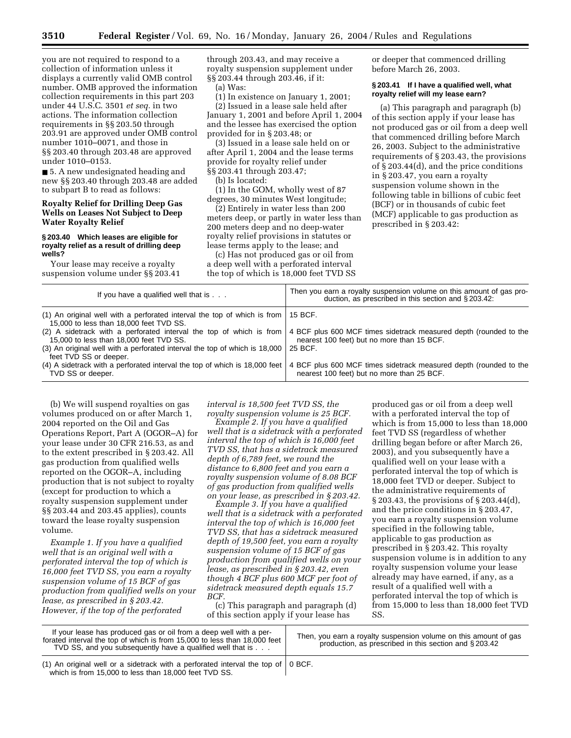you are not required to respond to a collection of information unless it displays a currently valid OMB control number. OMB approved the information collection requirements in this part 203 under 44 U.S.C. 3501 *et seq.* in two actions. The information collection requirements in §§ 203.50 through 203.91 are approved under OMB control number 1010–0071, and those in §§ 203.40 through 203.48 are approved under 1010–0153.

■ 5. A new undesignated heading and new §§ 203.40 through 203.48 are added to subpart B to read as follows:

### **Royalty Relief for Drilling Deep Gas Wells on Leases Not Subject to Deep Water Royalty Relief**

#### **§ 203.40 Which leases are eligible for royalty relief as a result of drilling deep wells?**

Your lease may receive a royalty suspension volume under §§ 203.41 through 203.43, and may receive a royalty suspension supplement under §§ 203.44 through 203.46, if it:

(a) Was:

(1) In existence on January 1, 2001; (2) Issued in a lease sale held after

January 1, 2001 and before April 1, 2004 and the lessee has exercised the option provided for in § 203.48; or

(3) Issued in a lease sale held on or after April 1, 2004 and the lease terms provide for royalty relief under §§ 203.41 through 203.47;

(b) Is located:

(1) In the GOM, wholly west of 87 degrees, 30 minutes West longitude;

(2) Entirely in water less than 200 meters deep, or partly in water less than 200 meters deep and no deep-water royalty relief provisions in statutes or lease terms apply to the lease; and

(c) Has not produced gas or oil from a deep well with a perforated interval the top of which is 18,000 feet TVD SS or deeper that commenced drilling before March 26, 2003.

### **§ 203.41 If I have a qualified well, what royalty relief will my lease earn?**

(a) This paragraph and paragraph (b) of this section apply if your lease has not produced gas or oil from a deep well that commenced drilling before March 26, 2003. Subject to the administrative requirements of § 203.43, the provisions of § 203.44(d), and the price conditions in § 203.47, you earn a royalty suspension volume shown in the following table in billions of cubic feet (BCF) or in thousands of cubic feet (MCF) applicable to gas production as prescribed in § 203.42:

| If you have a qualified well that is                                                                                                | Then you earn a royalty suspension volume on this amount of gas pro-<br>duction, as prescribed in this section and $\S 203.42$ .                                                    |
|-------------------------------------------------------------------------------------------------------------------------------------|-------------------------------------------------------------------------------------------------------------------------------------------------------------------------------------|
| (1) An original well with a perforated interval the top of which is from $\vert$ 15 BCF.<br>15,000 to less than 18,000 feet TVD SS. |                                                                                                                                                                                     |
| 15,000 to less than 18,000 feet TVD SS.                                                                                             | (2) A sidetrack with a perforated interval the top of which is from 4 BCF plus 600 MCF times sidetrack measured depth (rounded to the<br>nearest 100 feet) but no more than 15 BCF. |
| (3) An original well with a perforated interval the top of which is 18,000<br>feet TVD SS or deeper.                                | 25 BCF.                                                                                                                                                                             |
| (4) A sidetrack with a perforated interval the top of which is 18,000 feet<br>TVD SS or deeper.                                     | 4 BCF plus 600 MCF times sidetrack measured depth (rounded to the<br>nearest 100 feet) but no more than 25 BCF.                                                                     |

(b) We will suspend royalties on gas volumes produced on or after March 1, 2004 reported on the Oil and Gas Operations Report, Part A (OGOR–A) for your lease under 30 CFR 216.53, as and to the extent prescribed in § 203.42. All gas production from qualified wells reported on the OGOR–A, including production that is not subject to royalty (except for production to which a royalty suspension supplement under §§ 203.44 and 203.45 applies), counts toward the lease royalty suspension volume.

*Example 1. If you have a qualified well that is an original well with a perforated interval the top of which is 16,000 feet TVD SS, you earn a royalty suspension volume of 15 BCF of gas production from qualified wells on your lease, as prescribed in § 203.42. However, if the top of the perforated* 

*interval is 18,500 feet TVD SS, the royalty suspension volume is 25 BCF.*

*Example 2. If you have a qualified well that is a sidetrack with a perforated interval the top of which is 16,000 feet TVD SS, that has a sidetrack measured depth of 6,789 feet, we round the distance to 6,800 feet and you earn a royalty suspension volume of 8.08 BCF of gas production from qualified wells on your lease, as prescribed in § 203.42.*

*Example 3. If you have a qualified well that is a sidetrack with a perforated interval the top of which is 16,000 feet TVD SS, that has a sidetrack measured depth of 19,500 feet, you earn a royalty suspension volume of 15 BCF of gas production from qualified wells on your lease, as prescribed in § 203.42, even though 4 BCF plus 600 MCF per foot of sidetrack measured depth equals 15.7 BCF.*

(c) This paragraph and paragraph (d) of this section apply if your lease has

produced gas or oil from a deep well with a perforated interval the top of which is from 15,000 to less than 18,000 feet TVD SS (regardless of whether drilling began before or after March 26, 2003), and you subsequently have a qualified well on your lease with a perforated interval the top of which is 18,000 feet TVD or deeper. Subject to the administrative requirements of § 203.43, the provisions of § 203.44(d), and the price conditions in § 203.47, you earn a royalty suspension volume specified in the following table, applicable to gas production as prescribed in § 203.42. This royalty suspension volume is in addition to any royalty suspension volume your lease already may have earned, if any, as a result of a qualified well with a perforated interval the top of which is from 15,000 to less than 18,000 feet TVD SS.

| If your lease has produced gas or oil from a deep well with a per-<br>forated interval the top of which is from 15,000 to less than 18,000 feet<br>TVD SS, and you subsequently have a qualified well that is | Then, you earn a royalty suspension volume on this amount of gas<br>production, as prescribed in this section and §203.42 |
|---------------------------------------------------------------------------------------------------------------------------------------------------------------------------------------------------------------|---------------------------------------------------------------------------------------------------------------------------|
|                                                                                                                                                                                                               |                                                                                                                           |

(1) An original well or a sidetrack with a perforated interval the top of  $\vert$  0 BCF. which is from 15,000 to less than 18,000 feet TVD SS.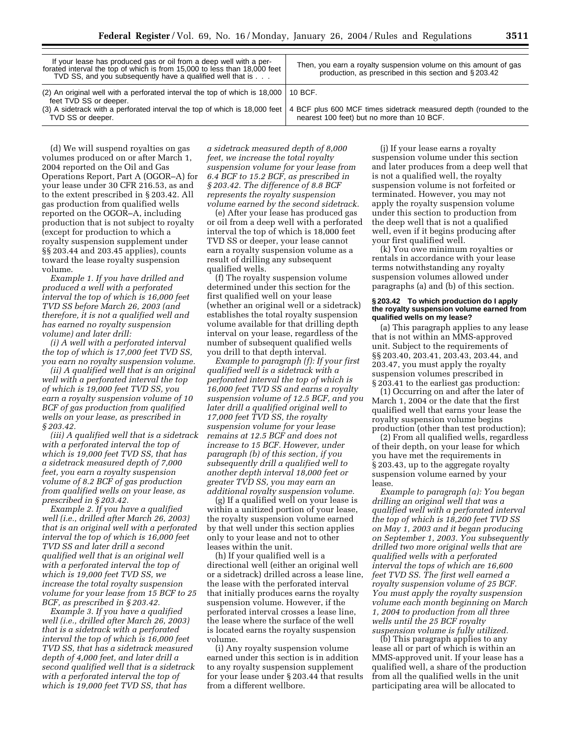| If your lease has produced gas or oil from a deep well with a per-<br>forated interval the top of which is from 15,000 to less than 18,000 feet<br>TVD SS, and you subsequently have a qualified well that is          | Then, you earn a royalty suspension volume on this amount of gas<br>production, as prescribed in this section and §203.42 |
|------------------------------------------------------------------------------------------------------------------------------------------------------------------------------------------------------------------------|---------------------------------------------------------------------------------------------------------------------------|
| (2) An original well with a perforated interval the top of which is $18,000 \mid 10$ BCF.<br>feet TVD SS or deeper.<br>(3) A sidetrack with a perforated interval the top of which is 18,000 feet<br>TVD SS or deeper. | 4 BCF plus 600 MCF times sidetrack measured depth (rounded to the<br>nearest 100 feet) but no more than 10 BCF.           |

(d) We will suspend royalties on gas volumes produced on or after March 1, 2004 reported on the Oil and Gas Operations Report, Part A (OGOR–A) for your lease under 30 CFR 216.53, as and to the extent prescribed in § 203.42. All gas production from qualified wells reported on the OGOR–A, including production that is not subject to royalty (except for production to which a royalty suspension supplement under §§ 203.44 and 203.45 applies), counts toward the lease royalty suspension volume.

*Example 1. If you have drilled and produced a well with a perforated interval the top of which is 16,000 feet TVD SS before March 26, 2003 (and therefore, it is not a qualified well and has earned no royalty suspension volume) and later drill:*

*(i) A well with a perforated interval the top of which is 17,000 feet TVD SS, you earn no royalty suspension volume.*

*(ii) A qualified well that is an original well with a perforated interval the top of which is 19,000 feet TVD SS, you earn a royalty suspension volume of 10 BCF of gas production from qualified wells on your lease, as prescribed in § 203.42.*

*(iii) A qualified well that is a sidetrack with a perforated interval the top of which is 19,000 feet TVD SS, that has a sidetrack measured depth of 7,000 feet, you earn a royalty suspension volume of 8.2 BCF of gas production from qualified wells on your lease, as prescribed in § 203.42.*

*Example 2. If you have a qualified well (i.e., drilled after March 26, 2003) that is an original well with a perforated interval the top of which is 16,000 feet TVD SS and later drill a second qualified well that is an original well with a perforated interval the top of which is 19,000 feet TVD SS, we increase the total royalty suspension volume for your lease from 15 BCF to 25 BCF, as prescribed in § 203.42.*

*Example 3. If you have a qualified well (i.e., drilled after March 26, 2003) that is a sidetrack with a perforated interval the top of which is 16,000 feet TVD SS, that has a sidetrack measured depth of 4,000 feet, and later drill a second qualified well that is a sidetrack with a perforated interval the top of which is 19,000 feet TVD SS, that has* 

*a sidetrack measured depth of 8,000 feet, we increase the total royalty suspension volume for your lease from 6.4 BCF to 15.2 BCF, as prescribed in § 203.42. The difference of 8.8 BCF represents the royalty suspension volume earned by the second sidetrack.*

(e) After your lease has produced gas or oil from a deep well with a perforated interval the top of which is 18,000 feet TVD SS or deeper, your lease cannot earn a royalty suspension volume as a result of drilling any subsequent qualified wells.

(f) The royalty suspension volume determined under this section for the first qualified well on your lease (whether an original well or a sidetrack) establishes the total royalty suspension volume available for that drilling depth interval on your lease, regardless of the number of subsequent qualified wells you drill to that depth interval.

*Example to paragraph (f): If your first qualified well is a sidetrack with a perforated interval the top of which is 16,000 feet TVD SS and earns a royalty suspension volume of 12.5 BCF, and you later drill a qualified original well to 17,000 feet TVD SS, the royalty suspension volume for your lease remains at 12.5 BCF and does not increase to 15 BCF. However, under paragraph (b) of this section, if you subsequently drill a qualified well to another depth interval 18,000 feet or greater TVD SS, you may earn an additional royalty suspension volume.*

(g) If a qualified well on your lease is within a unitized portion of your lease, the royalty suspension volume earned by that well under this section applies only to your lease and not to other leases within the unit.

(h) If your qualified well is a directional well (either an original well or a sidetrack) drilled across a lease line, the lease with the perforated interval that initially produces earns the royalty suspension volume. However, if the perforated interval crosses a lease line, the lease where the surface of the well is located earns the royalty suspension volume.

(i) Any royalty suspension volume earned under this section is in addition to any royalty suspension supplement for your lease under § 203.44 that results from a different wellbore.

(j) If your lease earns a royalty suspension volume under this section and later produces from a deep well that is not a qualified well, the royalty suspension volume is not forfeited or terminated. However, you may not apply the royalty suspension volume under this section to production from the deep well that is not a qualified well, even if it begins producing after your first qualified well.

(k) You owe minimum royalties or rentals in accordance with your lease terms notwithstanding any royalty suspension volumes allowed under paragraphs (a) and (b) of this section.

#### **§ 203.42 To which production do I apply the royalty suspension volume earned from qualified wells on my lease?**

(a) This paragraph applies to any lease that is not within an MMS-approved unit. Subject to the requirements of §§ 203.40, 203.41, 203.43, 203.44, and 203.47, you must apply the royalty suspension volumes prescribed in § 203.41 to the earliest gas production:

(1) Occurring on and after the later of March 1, 2004 or the date that the first qualified well that earns your lease the royalty suspension volume begins production (other than test production);

(2) From all qualified wells, regardless of their depth, on your lease for which you have met the requirements in § 203.43, up to the aggregate royalty suspension volume earned by your lease.

*Example to paragraph (a): You began drilling an original well that was a qualified well with a perforated interval the top of which is 18,200 feet TVD SS on May 1, 2003 and it began producing on September 1, 2003. You subsequently drilled two more original wells that are qualified wells with a perforated interval the tops of which are 16,600 feet TVD SS. The first well earned a royalty suspension volume of 25 BCF. You must apply the royalty suspension volume each month beginning on March 1, 2004 to production from all three wells until the 25 BCF royalty suspension volume is fully utilized.*

(b) This paragraph applies to any lease all or part of which is within an MMS-approved unit. If your lease has a qualified well, a share of the production from all the qualified wells in the unit participating area will be allocated to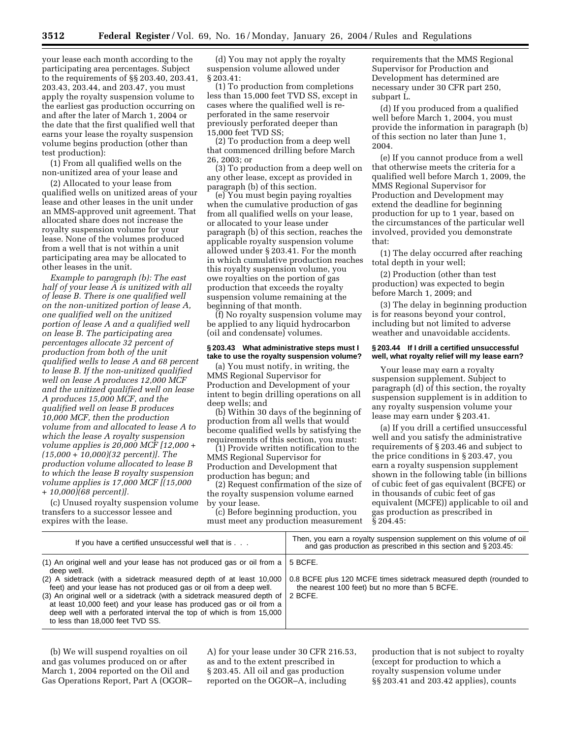**3512 Federal Register** / Vol. 69, No. 16 / Monday, January 26, 2004 / Rules and Regulations

your lease each month according to the participating area percentages. Subject to the requirements of §§ 203.40, 203.41, 203.43, 203.44, and 203.47, you must apply the royalty suspension volume to the earliest gas production occurring on and after the later of March 1, 2004 or the date that the first qualified well that earns your lease the royalty suspension volume begins production (other than test production):

(1) From all qualified wells on the non-unitized area of your lease and

(2) Allocated to your lease from qualified wells on unitized areas of your lease and other leases in the unit under an MMS-approved unit agreement. That allocated share does not increase the royalty suspension volume for your lease. None of the volumes produced from a well that is not within a unit participating area may be allocated to other leases in the unit.

*Example to paragraph (b): The east half of your lease A is unitized with all of lease B. There is one qualified well on the non-unitized portion of lease A, one qualified well on the unitized portion of lease A and a qualified well on lease B. The participating area percentages allocate 32 percent of production from both of the unit qualified wells to lease A and 68 percent to lease B. If the non-unitized qualified well on lease A produces 12,000 MCF and the unitized qualified well on lease A produces 15,000 MCF, and the qualified well on lease B produces 10,000 MCF, then the production volume from and allocated to lease A to which the lease A royalty suspension volume applies is 20,000 MCF [12,000 + (15,000 + 10,000)(32 percent)]. The production volume allocated to lease B to which the lease B royalty suspension volume applies is 17,000 MCF [(15,000 + 10,000)(68 percent)].*

(c) Unused royalty suspension volume transfers to a successor lessee and expires with the lease.

(d) You may not apply the royalty suspension volume allowed under § 203.41:

(1) To production from completions less than 15,000 feet TVD SS, except in cases where the qualified well is reperforated in the same reservoir previously perforated deeper than 15,000 feet TVD SS;

(2) To production from a deep well that commenced drilling before March 26, 2003; or

(3) To production from a deep well on any other lease, except as provided in paragraph (b) of this section.

(e) You must begin paying royalties when the cumulative production of gas from all qualified wells on your lease, or allocated to your lease under paragraph (b) of this section, reaches the applicable royalty suspension volume allowed under § 203.41. For the month in which cumulative production reaches this royalty suspension volume, you owe royalties on the portion of gas production that exceeds the royalty suspension volume remaining at the beginning of that month.

(f) No royalty suspension volume may be applied to any liquid hydrocarbon (oil and condensate) volumes.

### **§ 203.43 What administrative steps must I take to use the royalty suspension volume?**

(a) You must notify, in writing, the MMS Regional Supervisor for Production and Development of your intent to begin drilling operations on all deep wells; and

(b) Within 30 days of the beginning of production from all wells that would become qualified wells by satisfying the requirements of this section, you must:

(1) Provide written notification to the MMS Regional Supervisor for Production and Development that production has begun; and

(2) Request confirmation of the size of the royalty suspension volume earned by your lease.

(c) Before beginning production, you must meet any production measurement requirements that the MMS Regional Supervisor for Production and Development has determined are necessary under 30 CFR part 250, subpart L.

(d) If you produced from a qualified well before March 1, 2004, you must provide the information in paragraph (b) of this section no later than June 1, 2004.

(e) If you cannot produce from a well that otherwise meets the criteria for a qualified well before March 1, 2009, the MMS Regional Supervisor for Production and Development may extend the deadline for beginning production for up to 1 year, based on the circumstances of the particular well involved, provided you demonstrate that:

(1) The delay occurred after reaching total depth in your well;

(2) Production (other than test production) was expected to begin before March 1, 2009; and

(3) The delay in beginning production is for reasons beyond your control, including but not limited to adverse weather and unavoidable accidents.

### **§ 203.44 If I drill a certified unsuccessful well, what royalty relief will my lease earn?**

Your lease may earn a royalty suspension supplement. Subject to paragraph (d) of this section, the royalty suspension supplement is in addition to any royalty suspension volume your lease may earn under § 203.41.

(a) If you drill a certified unsuccessful well and you satisfy the administrative requirements of § 203.46 and subject to the price conditions in § 203.47, you earn a royalty suspension supplement shown in the following table (in billions of cubic feet of gas equivalent (BCFE) or in thousands of cubic feet of gas equivalent (MCFE)) applicable to oil and gas production as prescribed in § 204.45:

| If you have a certified unsuccessful well that is                                                                                                                                                                                                                                                                                                                                                                                                                                                                       | Then, you earn a royalty suspension supplement on this volume of oil<br>and gas production as prescribed in this section and §203.45. |
|-------------------------------------------------------------------------------------------------------------------------------------------------------------------------------------------------------------------------------------------------------------------------------------------------------------------------------------------------------------------------------------------------------------------------------------------------------------------------------------------------------------------------|---------------------------------------------------------------------------------------------------------------------------------------|
| (1) An original well and your lease has not produced gas or oil from a $\vert$<br>deep well.<br>(2) A sidetrack (with a sidetrack measured depth of at least 10,000<br>feet) and your lease has not produced gas or oil from a deep well.<br>(3) An original well or a sidetrack (with a sidetrack measured depth of $\vert$ 2 BCFE.<br>at least 10,000 feet) and your lease has produced gas or oil from a<br>deep well with a perforated interval the top of which is from 15,000<br>to less than 18,000 feet TVD SS. | 5 BCFE.<br>0.8 BCFE plus 120 MCFE times sidetrack measured depth (rounded to<br>the nearest 100 feet) but no more than 5 BCFE.        |

(b) We will suspend royalties on oil and gas volumes produced on or after March 1, 2004 reported on the Oil and Gas Operations Report, Part A (OGOR– A) for your lease under 30 CFR 216.53, as and to the extent prescribed in § 203.45. All oil and gas production reported on the OGOR–A, including

production that is not subject to royalty (except for production to which a royalty suspension volume under §§ 203.41 and 203.42 applies), counts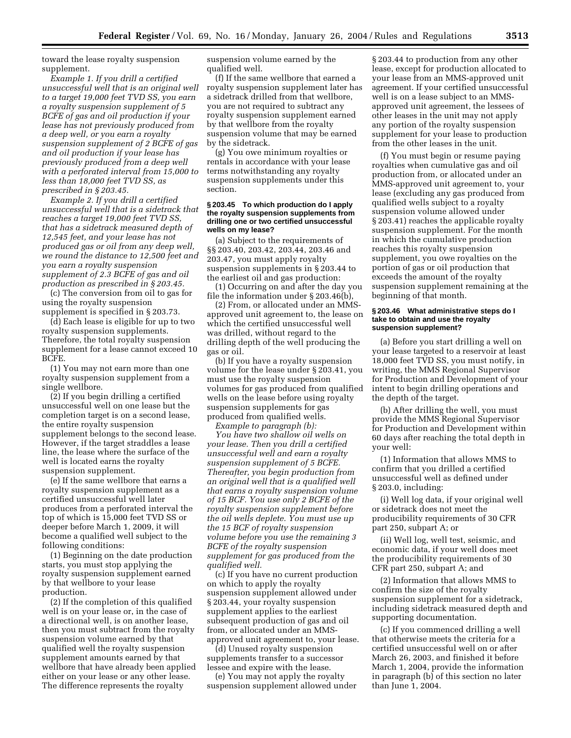toward the lease royalty suspension supplement.

*Example 1. If you drill a certified unsuccessful well that is an original well to a target 19,000 feet TVD SS, you earn a royalty suspension supplement of 5 BCFE of gas and oil production if your lease has not previously produced from a deep well, or you earn a royalty suspension supplement of 2 BCFE of gas and oil production if your lease has previously produced from a deep well with a perforated interval from 15,000 to less than 18,000 feet TVD SS, as prescribed in § 203.45.*

*Example 2. If you drill a certified unsuccessful well that is a sidetrack that reaches a target 19,000 feet TVD SS, that has a sidetrack measured depth of 12,545 feet, and your lease has not produced gas or oil from any deep well, we round the distance to 12,500 feet and you earn a royalty suspension supplement of 2.3 BCFE of gas and oil production as prescribed in § 203.45.*

(c) The conversion from oil to gas for using the royalty suspension supplement is specified in § 203.73.

(d) Each lease is eligible for up to two royalty suspension supplements. Therefore, the total royalty suspension supplement for a lease cannot exceed 10 BCFE.

(1) You may not earn more than one royalty suspension supplement from a single wellbore.

(2) If you begin drilling a certified unsuccessful well on one lease but the completion target is on a second lease, the entire royalty suspension supplement belongs to the second lease. However, if the target straddles a lease line, the lease where the surface of the well is located earns the royalty suspension supplement.

(e) If the same wellbore that earns a royalty suspension supplement as a certified unsuccessful well later produces from a perforated interval the top of which is 15,000 feet TVD SS or deeper before March 1, 2009, it will become a qualified well subject to the following conditions:

(1) Beginning on the date production starts, you must stop applying the royalty suspension supplement earned by that wellbore to your lease production.

(2) If the completion of this qualified well is on your lease or, in the case of a directional well, is on another lease, then you must subtract from the royalty suspension volume earned by that qualified well the royalty suspension supplement amounts earned by that wellbore that have already been applied either on your lease or any other lease. The difference represents the royalty

suspension volume earned by the qualified well.

(f) If the same wellbore that earned a royalty suspension supplement later has a sidetrack drilled from that wellbore, you are not required to subtract any royalty suspension supplement earned by that wellbore from the royalty suspension volume that may be earned by the sidetrack.

(g) You owe minimum royalties or rentals in accordance with your lease terms notwithstanding any royalty suspension supplements under this section.

### **§ 203.45 To which production do I apply the royalty suspension supplements from drilling one or two certified unsuccessful wells on my lease?**

(a) Subject to the requirements of §§ 203.40, 203.42, 203.44, 203.46 and 203.47, you must apply royalty suspension supplements in § 203.44 to the earliest oil and gas production:

(1) Occurring on and after the day you file the information under § 203.46(b),

(2) From, or allocated under an MMSapproved unit agreement to, the lease on which the certified unsuccessful well was drilled, without regard to the drilling depth of the well producing the gas or oil.

(b) If you have a royalty suspension volume for the lease under § 203.41, you must use the royalty suspension volumes for gas produced from qualified wells on the lease before using royalty suspension supplements for gas produced from qualified wells.

*Example to paragraph (b):*

*You have two shallow oil wells on your lease. Then you drill a certified unsuccessful well and earn a royalty suspension supplement of 5 BCFE. Thereafter, you begin production from an original well that is a qualified well that earns a royalty suspension volume of 15 BCF. You use only 2 BCFE of the royalty suspension supplement before the oil wells deplete. You must use up the 15 BCF of royalty suspension volume before you use the remaining 3 BCFE of the royalty suspension supplement for gas produced from the qualified well.*

(c) If you have no current production on which to apply the royalty suspension supplement allowed under § 203.44, your royalty suspension supplement applies to the earliest subsequent production of gas and oil from, or allocated under an MMSapproved unit agreement to, your lease.

(d) Unused royalty suspension supplements transfer to a successor lessee and expire with the lease.

(e) You may not apply the royalty suspension supplement allowed under

§ 203.44 to production from any other lease, except for production allocated to your lease from an MMS-approved unit agreement. If your certified unsuccessful well is on a lease subject to an MMSapproved unit agreement, the lessees of other leases in the unit may not apply any portion of the royalty suspension supplement for your lease to production from the other leases in the unit.

(f) You must begin or resume paying royalties when cumulative gas and oil production from, or allocated under an MMS-approved unit agreement to, your lease (excluding any gas produced from qualified wells subject to a royalty suspension volume allowed under § 203.41) reaches the applicable royalty suspension supplement. For the month in which the cumulative production reaches this royalty suspension supplement, you owe royalties on the portion of gas or oil production that exceeds the amount of the royalty suspension supplement remaining at the beginning of that month.

#### **§ 203.46 What administrative steps do I take to obtain and use the royalty suspension supplement?**

(a) Before you start drilling a well on your lease targeted to a reservoir at least 18,000 feet TVD SS, you must notify, in writing, the MMS Regional Supervisor for Production and Development of your intent to begin drilling operations and the depth of the target.

(b) After drilling the well, you must provide the MMS Regional Supervisor for Production and Development within 60 days after reaching the total depth in your well:

(1) Information that allows MMS to confirm that you drilled a certified unsuccessful well as defined under § 203.0, including:

(i) Well log data, if your original well or sidetrack does not meet the producibility requirements of 30 CFR part 250, subpart A; or

(ii) Well log, well test, seismic, and economic data, if your well does meet the producibility requirements of 30 CFR part 250, subpart A; and

(2) Information that allows MMS to confirm the size of the royalty suspension supplement for a sidetrack, including sidetrack measured depth and supporting documentation.

(c) If you commenced drilling a well that otherwise meets the criteria for a certified unsuccessful well on or after March 26, 2003, and finished it before March 1, 2004, provide the information in paragraph (b) of this section no later than June 1, 2004.